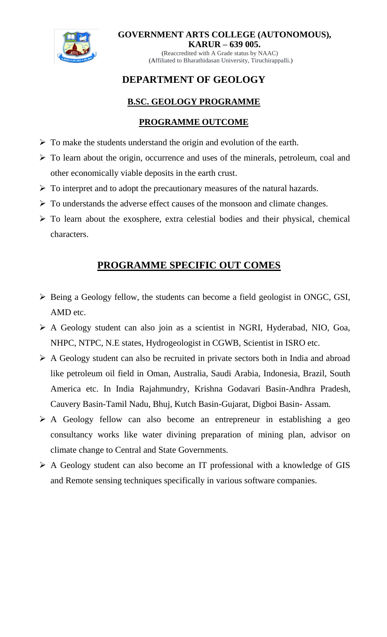

**GOVERNMENT ARTS COLLEGE (AUTONOMOUS), KARUR – 639 005.**

(Reaccredited with A Grade status by NAAC) (Affiliated to Bharathidasan University, Tiruchirappalli.)

# **DEPARTMENT OF GEOLOGY**

# **B.SC. GEOLOGY PROGRAMME**

# **PROGRAMME OUTCOME**

- $\triangleright$  To make the students understand the origin and evolution of the earth.
- $\triangleright$  To learn about the origin, occurrence and uses of the minerals, petroleum, coal and other economically viable deposits in the earth crust.
- $\triangleright$  To interpret and to adopt the precautionary measures of the natural hazards.
- $\triangleright$  To understands the adverse effect causes of the monsoon and climate changes.
- $\triangleright$  To learn about the exosphere, extra celestial bodies and their physical, chemical characters.

# **PROGRAMME SPECIFIC OUT COMES**

- $\triangleright$  Being a Geology fellow, the students can become a field geologist in ONGC, GSI, AMD etc.
- A Geology student can also join as a scientist in NGRI, Hyderabad, NIO, Goa, NHPC, NTPC, N.E states, Hydrogeologist in CGWB, Scientist in ISRO etc.
- $\triangleright$  A Geology student can also be recruited in private sectors both in India and abroad like petroleum oil field in Oman, Australia, Saudi Arabia, Indonesia, Brazil, South America etc. In India Rajahmundry, Krishna Godavari Basin-Andhra Pradesh, Cauvery Basin-Tamil Nadu, Bhuj, Kutch Basin-Gujarat, Digboi Basin- Assam.
- $\triangleright$  A Geology fellow can also become an entrepreneur in establishing a geo consultancy works like water divining preparation of mining plan, advisor on climate change to Central and State Governments.
- A Geology student can also become an IT professional with a knowledge of GIS and Remote sensing techniques specifically in various software companies.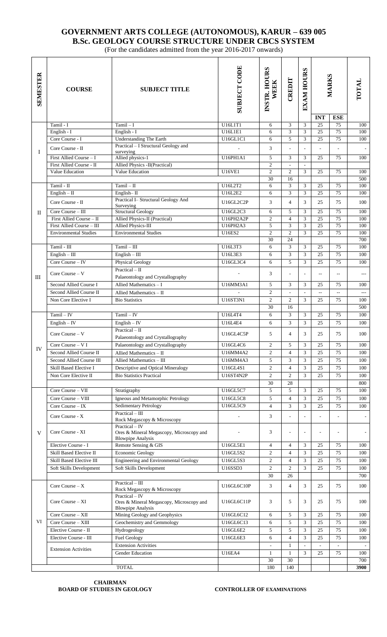### **GOVERNMENT ARTS COLLEGE (AUTONOMOUS), KARUR – 639 005 B.Sc. GEOLOGY COURSE STRUCTURE UNDER CBCS SYSTEM**

(For the candidates admitted from the year 2016-2017 onwards)

| <b>SEMESTER</b> | <b>COURSE</b>                | <b>SUBJECT TITLE</b>                                                                   | <b>SUBJECT CODE</b> | INSTR. HOURS<br><b>WEEK</b> | CREDIT         | <b>EXAM HOURS</b>        | MARKS           |                 | TOTAL                    |
|-----------------|------------------------------|----------------------------------------------------------------------------------------|---------------------|-----------------------------|----------------|--------------------------|-----------------|-----------------|--------------------------|
|                 |                              |                                                                                        |                     |                             |                |                          | <b>INT</b>      | <b>ESE</b>      |                          |
|                 | Tamil - I                    | $Tamil - I$                                                                            | U16L1T1             | 6                           | 3              | 3                        | 25              | 75              | 100                      |
| $\bf{I}$        | English - I                  | English - I                                                                            | U16L1E1             | 6                           | 3              | 3                        | $\overline{25}$ | 75              | 100                      |
|                 | Core Course - I              | <b>Understanding The Earth</b>                                                         | U16GL1C1            | 6                           | 5              | 3                        | 25              | 75              | 100                      |
|                 | Core Course - II             | Practical - I Structural Geology and<br>surveying                                      |                     | 3                           | L,             | L,                       | ÷.              |                 |                          |
|                 | First Allied Course - I      | Allied physics-1                                                                       | U16PH1A1            | 5                           | 3              | 3                        | 25              | 75              | 100                      |
|                 | First Allied Course - II     | Allied Physics - II(Practical)                                                         |                     | $\overline{c}$              | $\frac{1}{2}$  | $\mathbb{Z}^2$           |                 |                 |                          |
|                 | Value Education              | Value Education                                                                        | <b>U16VE1</b>       | $\overline{c}$              | $\mathfrak{2}$ | 3                        | 25              | 75              | 100                      |
|                 |                              |                                                                                        |                     | 30                          | 16             |                          |                 |                 | 500                      |
| $_{\rm II}$     | Tamil - II                   | $Tamil - II$                                                                           | U16L2T2             | 6                           | 3              | 3                        | 25              | 75              | 100                      |
|                 | $English - II$               | English-II                                                                             | U16L2E2             | 6                           | 3              | 3                        | $\overline{25}$ | $\overline{75}$ | 100                      |
|                 | Core Course - II             | Practical I- Structural Geology And<br>Surveying                                       | U16GL2C2P           | 3                           | $\overline{4}$ | 3                        | 25              | 75              | 100                      |
|                 | Core Course - III            | <b>Structural Geology</b>                                                              | U16GL2C3            | 6                           | 5              | 3                        | $\overline{25}$ | $\overline{75}$ | 100                      |
|                 | First Allied Course - II     | Allied Physics-II (Practical)                                                          | U16PH2A2P           | $\overline{c}$              | $\overline{4}$ | 3                        | $\overline{25}$ | $\overline{75}$ | 100                      |
|                 | First Allied Course - III    | <b>Allied Physics-III</b>                                                              | U16PH2A3            | 5                           | 3              | 3                        | 25              | 75              | 100                      |
|                 | <b>Environmental Studies</b> | <b>Environmental Studies</b>                                                           | <b>U16ES2</b>       | $\overline{c}$              | $\overline{2}$ | 3                        | 25              | 75              | 100                      |
|                 |                              |                                                                                        |                     | 30                          | 24             |                          |                 |                 | 700                      |
| Ш               | Tamil - III                  | $Tamil - III$                                                                          | U16L3T3             | 6                           | 3              | 3                        | 25              | 75              | 100                      |
|                 | $English - III$              | $English - III$                                                                        | U16L3E3             | 6                           | 3              | $\overline{3}$           | 25              | 75              | 100                      |
|                 | Core Course - IV             | <b>Physical Geology</b>                                                                | U16GL3C4            | 6                           | 5              | 3                        | 25              | 75              | 100                      |
|                 |                              | Practical $-$ II                                                                       |                     |                             |                |                          |                 |                 |                          |
|                 | Core Course - V              | Palaeontology and Crystallography                                                      |                     | 3                           |                | L,                       | $\overline{a}$  | Щ,              | ---                      |
|                 | Second Allied Course I       | Allied Mathematics $- I$                                                               | U16MM3A1            | 5                           | 3              | 3                        | 25              | 75              | 100                      |
|                 | Second Allied Course II      | Allied Mathematics - II                                                                |                     | $\overline{2}$              | ٠              | $\overline{\phantom{a}}$ | $\overline{a}$  | $-$             | $\overline{\phantom{a}}$ |
|                 | Non Core Elective I          | <b>Bio Statistics</b>                                                                  | U16ST3N1            | $\overline{2}$              | 2              | 3                        | 25              | 75              | 100                      |
|                 |                              |                                                                                        |                     | 30                          | 16             |                          |                 |                 | 500                      |
| IV              | $Tamil - IV$                 | $Tamil - IV$                                                                           | U16L4T4             | 6                           | 3              | 3                        | 25              | 75              | 100                      |
|                 | $English - IV$               | $English - IV$                                                                         | U16L4E4             | 6                           | 3              | 3                        | 25              | 75              | 100                      |
|                 | Core Course $-$ V            | $Practical - II$                                                                       |                     | 5                           | $\overline{4}$ |                          | 25              | 75              | 100                      |
|                 |                              | Palaeontology and Crystallography                                                      | U16GL4C5P           |                             |                | 3                        |                 |                 |                          |
|                 | Core Course - V I            | Palaeontology and Crystallography                                                      | U16GL4C6            | $\overline{c}$              | 5              | 3                        | 25              | 75              | 100                      |
|                 | Second Allied Course II      | Allied Mathematics - II                                                                | U16MM4A2            | $\overline{c}$              | $\overline{4}$ | 3                        | 25              | 75              | 100                      |
|                 | Second Allied Course III     | Allied Mathematics - III                                                               | U16MM4A3            | 5                           | 3              | 3                        | 25              | 75              | 100                      |
|                 | Skill Based Elective I       | Descriptive and Optical Mineralogy                                                     | U16GL4S1            | 2                           | $\overline{4}$ | 3                        | 25              | 75              | 100                      |
|                 | Non Core Elective II         | <b>Bio Statistics Practical</b>                                                        | <b>U16ST4N2P</b>    | 2                           | $\overline{c}$ | 3                        | 25              | 75              | 100                      |
|                 |                              |                                                                                        |                     | 30                          | 28             |                          |                 |                 | 800                      |
| V               | Core Course - VII            | Stratigraphy                                                                           | U16GL5C7            | 5                           | 5              | 3                        | 25              | 75              | 100                      |
|                 | Core Course - VIII           | Igneous and Metamorphic Petrology                                                      | U16GL5C8            | 5                           | $\overline{4}$ | 3                        | 25              | 75              | 100                      |
|                 | Core Course $-$ IX           | Sedimentary Petrology                                                                  | U16GL5C9            | $\overline{4}$              | 3              | 3                        | 25              | 75              | 100                      |
|                 | Core Course - X              | $Practical - III$                                                                      |                     | 3                           |                |                          |                 |                 |                          |
|                 |                              | Rock Megascopy & Microscopy                                                            |                     |                             |                |                          |                 |                 |                          |
|                 | Core Course - XI             | Practical - IV<br>Ores & Mineral Megascopy, Microscopy and<br><b>Blowpipe Analysis</b> |                     | 3                           |                | ÷,                       |                 |                 | $\sim$                   |
|                 | Elective Course - I          | Remote Sensing & GIS                                                                   | U16GL5E1            | $\overline{4}$              | $\overline{4}$ | 3                        | 25              | 75              | 100                      |
|                 | Skill Based Elective II      | <b>Economic Geology</b>                                                                | U16GL5S2            | $\mathfrak{2}$              | $\overline{4}$ | 3                        | 25              | 75              | 100                      |
|                 | Skill Based Elective III     | Engineering and Environmental Geology                                                  | U16GL5S3            | $\mathfrak{2}$              | $\overline{4}$ | 3                        | 25              | 75              | 100                      |
|                 | Soft Skills Development      | Soft Skills Development                                                                | U16SSD3             | $\overline{2}$              | 2              | 3                        | 25              | 75              | 100                      |
|                 |                              |                                                                                        |                     | 30                          | 26             |                          |                 |                 | 700                      |
| VI              | Core Course $- X$            | $Practical - III$                                                                      | U16GL6C10P          | 3                           | $\overline{4}$ | 3                        | 25              | 75              | 100                      |
|                 |                              | Rock Megascopy & Microscopy                                                            |                     |                             |                |                          |                 |                 |                          |
|                 | Core Course – XI             | Practical - IV<br>Ores & Mineral Megascopy, Microscopy and<br><b>Blowpipe Analysis</b> | U16GL6C11P          | 3                           | 5              | 3                        | 25              | 75              | 100                      |
|                 | Core Course - XII            | Mining Geology and Geophysics                                                          | U16GL6C12           | 6                           | 5              | 3                        | 25              | 75              | 100                      |
|                 | Core Course - XIII           | Geochemistry and Gemmology                                                             | U16GL6C13           | 6                           | 5              | 3                        | 25              | 75              | 100                      |
|                 | Elective Course - II         | Hydrogeology                                                                           | U16GL6E2            | 5                           | 5              | 3                        | 25              | 75              | 100                      |
|                 | Elective Course - III        | <b>Fuel Geology</b>                                                                    | U16GL6E3            | 6                           | $\overline{4}$ | 3                        | 25              | 75              | 100                      |
|                 |                              | <b>Extension Activities</b>                                                            |                     |                             | 1              | $\overline{a}$           |                 |                 |                          |
|                 | <b>Extension Activities</b>  | <b>Gender Education</b>                                                                | <b>U16EA4</b>       | 1                           | 1              | 3                        | 25              | 75              | 100                      |
|                 |                              |                                                                                        |                     | 30                          | 30             |                          |                 |                 | 700                      |
|                 |                              | <b>TOTAL</b>                                                                           |                     | 180                         | 140            |                          |                 |                 | 3900                     |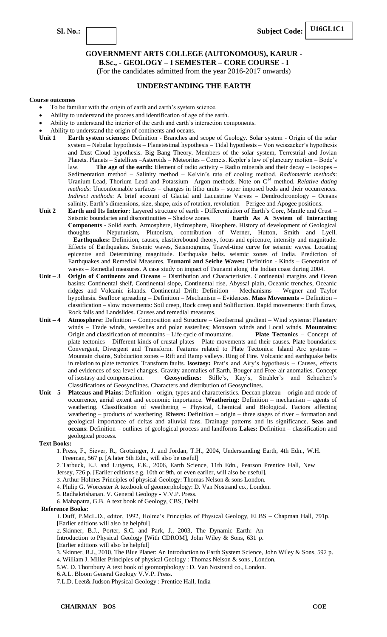**B.Sc., - GEOLOGY – I SEMESTER – CORE COURSE - I**

(For the candidates admitted from the year 2016-2017 onwards)

### **UNDERSTANDING THE EARTH**

#### **Course outcomes**

- To be familiar with the origin of earth and earth's system science.
- Ability to understand the process and identification of age of the earth.
- Ability to understand the interior of the earth and earth's interaction components.
- Ability to understand the origin of continents and oceans.
- **Unit 1 Earth system sciences**: Definition Branches and scope of Geology. Solar system Origin of the solar system – Nebular hypothesis – Planetesimal hypothesis – Tidal hypothesis – Von weiszacker's hypothesis and Dust Cloud hypothesis. Big Bang Theory. Members of the solar system, Terrestrial and Jovian Planets. Planets – Satellites –Asteroids – Meteorites – Comets. Kepler's law of planetary motion – Bode's law. **The age of the earth:** Element of radio activity – Radio minerals and their decay – Isotopes – Sedimentation method – Salinity method – Kelvin's rate of cooling method. *Radiometric methods*: Uranium-Lead, Thorium–Lead and Potassium– Argon methods. Note on C<sup>14</sup> method. *Relative dating methods*: Unconformable surfaces – changes in litho units – super imposed beds and their occurrences. *Indirect methods*: A brief account of Glacial and Lacustrine Varves – Dendrochronology – Oceans salinity. Earth's dimensions, size, shape, axis of rotation, revolution – Perigee and Apogee positions.
- **Unit 2 Earth and Its Interior:** Layered structure of earth Differentiation of Earth's Core, Mantle and Crust Seismic boundaries and discontinuities – Shadow zones. **Earth As A System of Interacting Components -** Solid earth, Atmosphere, Hydrosphere, Biosphere. History of development of Geological thoughts – Neputunism, Plutonism, contribution of Werner, Hutton, Smith and Lyell. **Earthquakes:** Definition, causes, elasticrebound theory, focus and epicentre, intensity and magnitude. Effects of Earthquakes. Seismic waves, Seismograms, Travel-time curve for seismic waves. Locating epicentre and Determining magnitude. Earthquake belts. seismic zones of India. Prediction of Earthquakes and Remedial Measures. **Tsunami and Seiche Waves:** Definition - Kinds – Generation of waves – Remedial measures. A case study on impact of Tsunami along the Indian coast during 2004.
- **Unit – 3 Origin of Continents and Oceans**  Distribution and Characteristics. Continental margins and Ocean basins: Continental shelf, Continental slope, Continental rise, Abyssal plain, Oceanic trenches, Oceanic ridges and Volcanic islands. Continental Drift: Definition – Mechanisms – Wegner and Taylor hypothesis. Seafloor spreading – Definition – Mechanism – Evidences. **Mass Movements –** Definition – classification – slow movements: Soil creep, Rock creep and Solifluction. Rapid movements: Earth flows, Rock falls and Landslides. Causes and remedial measures.
- **Unit – 4 Atmosphere:** Definition Composition and Structure Geothermal gradient Wind systems: Planetary winds – Trade winds, westerlies and polar easterlies; Monsoon winds and Local winds. **Mountains:**  Origin and classification of mountains – Life cycle of mountains. **Plate Tectonics** – Concept of plate tectonics – Different kinds of crustal plates – Plate movements and their causes. Plate boundaries: Convergent, Divergent and Transform. Features related to Plate Tectonics: Island Arc systems – Mountain chains, Subduction zones – Rift and Ramp valleys. Ring of Fire. Volcanic and earthquake belts in relation to plate tectonics. Transform faults. **Isostasy:** Prat's and Airy's hypothesis – Causes, effects and evidences of sea level changes. Gravity anomalies of Earth, Bouger and Free-air anomalies. Concept of isostasy and compensation. **Geosynclines:** Stille's, Kay's, Strahler's and Schuchert's Classifications of Geosynclines. Characters and distribution of Geosynclines.
- **Unit – 5 Plateaus and Plains**: Definition origin, types and characteristics. Deccan plateau origin and mode of occurrence, aerial extent and economic importance. **Weathering:** Definition – mechanism – agents of weathering. Classification of weathering – Physical, Chemical and Biological. Factors affecting weathering – products of weathering. **Rivers:** Definition – origin – three stages of river – formation and geological importance of deltas and alluvial fans. Drainage patterns and its significance. **Seas and oceans**: Definition – outlines of geological process and landforms **Lakes:** Definition – classification and geological process.

#### **Text Books:**

1. Press, F., Siever, R., Grotzinger, J. and Jordan, T.H., 2004, Understanding Earth, 4th Edn., W.H. Freeman, 567 p. [A later 5th Edn., will also be useful]

2. Tarbuck, E.J. and Lutgens, F.K., 2006, Earth Science, 11th Edn., Pearson Prentice Hall, New

Jersey, 726 p. [Earlier editions e.g. 10th or 9th, or even earlier, will also be useful].

3. Arthur Holmes Principles of physical Geology: Thomas Nelson & sons London.

4. Philip G. Worcester A textbook of geomorphology: D. Van Nostrand co., London.

5. Radhakrishanan. V. General Geology - V.V.P. Press.

6. Mahapatra, G.B. A text book of Geology, CBS, Delhi

#### **Reference Books:**

1. Duff, P.McL.D., editor, 1992, Holme's Principles of Physical Geology, ELBS – Chapman Hall, 791p. [Earlier editions will also be helpful]

2. Skinner, B.J., Porter, S.C. and Park, J., 2003, The Dynamic Earth: An

Introduction to Physical Geology [With CDROM], John Wiley & Sons, 631 p.

[Earlier editions will also be helpful]

3. Skinner, B.J., 2010, The Blue Planet: An Introduction to Earth System Science, John Wiley & Sons, 592 p. 4. William J. Miller Principles of physical Geology : Thomas Nelson & sons , London.

- 5.W. D. Thornbury A text book of geomorphology : D. Van Nostrand co., London.
- 6.A.L. Bloom General Geology V.V.P. Press.

7.L.D. Leet& Judson Physical Geology : Prentice Hall, India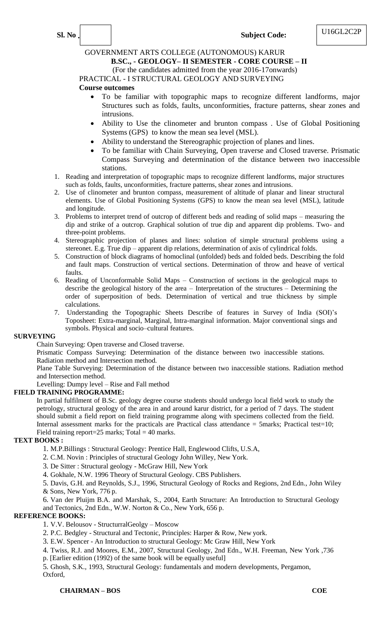### **Sl. No** . **Subject Code:**

### GOVERNMENT ARTS COLLEGE (AUTONOMOUS) KARUR

### **B.SC., - GEOLOGY– II SEMESTER - CORE COURSE – II**

(For the candidates admitted from the year 2016-17onwards)

### PRACTICAL - I STRUCTURAL GEOLOGY AND SURVEYING

### **Course outcomes**

- To be familiar with topographic maps to recognize different landforms, major Structures such as folds, faults, unconformities, fracture patterns, shear zones and intrusions.
- Ability to Use the clinometer and brunton compass . Use of Global Positioning Systems (GPS) to know the mean sea level (MSL).
- Ability to understand the Stereographic projection of planes and lines.
- To be familiar with Chain Surveying, Open traverse and Closed traverse. Prismatic Compass Surveying and determination of the distance between two inaccessible stations.
- 1. Reading and interpretation of topographic maps to recognize different landforms, major structures such as folds, faults, unconformities, fracture patterns, shear zones and intrusions.
- 2. Use of clinometer and brunton compass, measurement of altitude of planar and linear structural elements. Use of Global Positioning Systems (GPS) to know the mean sea level (MSL), latitude and longitude.
- 3. Problems to interpret trend of outcrop of different beds and reading of solid maps measuring the dip and strike of a outcrop. Graphical solution of true dip and apparent dip problems. Two- and three-point problems.
- 4. Stereographic projection of planes and lines: solution of simple structural problems using a stereonet. E.g. True dip – apparent dip relations, determination of axis of cylindrical folds.
- 5. Construction of block diagrams of homoclinal (unfolded) beds and folded beds. Describing the fold and fault maps. Construction of vertical sections. Determination of throw and heave of vertical faults.
- 6. Reading of Unconformable Solid Maps Construction of sections in the geological maps to describe the geological history of the area – Interpretation of the structures – Determining the order of superposition of beds. Determination of vertical and true thickness by simple calculations.
- 7. Understanding the Topographic Sheets Describe of features in Survey of India (SOI)'s Toposheet: Extra-marginal, Marginal, Intra-marginal information. Major conventional sings and symbols. Physical and socio–cultural features.

#### **SURVEYING**

Chain Surveying: Open traverse and Closed traverse.

Prismatic Compass Surveying: Determination of the distance between two inaccessible stations. Radiation method and Intersection method.

Plane Table Surveying: Determination of the distance between two inaccessible stations. Radiation method and Intersection method.

Levelling: Dumpy level – Rise and Fall method

### **FIELD TRAINING PROGRAMME:**

In partial fulfilment of B.Sc. geology degree course students should undergo local field work to study the petrology, structural geology of the area in and around karur district, for a period of 7 days. The student should submit a field report on field training programme along with specimens collected from the field. Internal assessment marks for the practicals are Practical class attendance  $=$  5marks; Practical test=10; Field training report=25 marks;  $Total = 40$  marks.

### **TEXT BOOKS :**

1. M.P.Billings : Structural Geology: Prentice Hall, Englewood Clifts, U.S.A,

2. C.M. Novin : Principles of structural Geology John Willey, New York.

- 3. De Sitter : Structural geology McGraw Hill, New York
- 4. Gokhale, N.W. 1996 Theory of Structural Geology. CBS Publishers.

5. Davis, G.H. and Reynolds, S.J., 1996, Structural Geology of Rocks and Regions, 2nd Edn., John Wiley & Sons, New York, 776 p.

6. Van der Pluijm B.A. and Marshak, S., 2004, Earth Structure: An Introduction to Structural Geology

#### and Tectonics, 2nd Edn., W.W. Norton & Co., New York, 656 p. **REFERENCE BOOKS:**

- 1. V.V. Belousov StructurralGeolgy Moscow
- 2. P.C. Bedgley Structural and Tectonic, Principles: Harper & Row, New york.
- 3. E.W. Spencer An Introduction to structural Geology: Mc Graw Hill, New York
- 4. Twiss, R.J. and Moores, E.M., 2007, Structural Geology, 2nd Edn., W.H. Freeman, New York ,736
- p. [Earlier edition (1992) of the same book will be equally useful]

5. Ghosh, S.K., 1993, Structural Geology: fundamentals and modern developments, Pergamon, Oxford,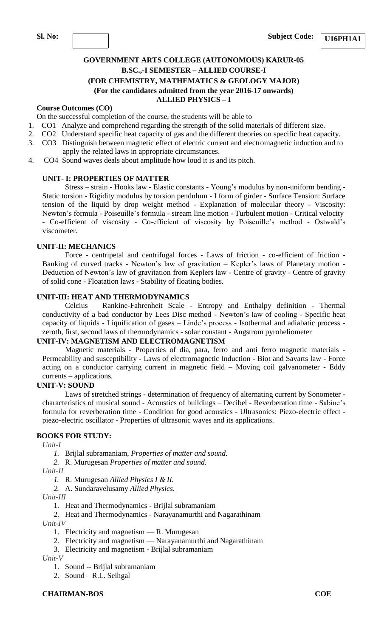**U16PH1A1**

### **GOVERNMENT ARTS COLLEGE (AUTONOMOUS) KARUR-05 B.SC.,-I SEMESTER – ALLIED COURSE-I (FOR CHEMISTRY, MATHEMATICS & GEOLOGY MAJOR) (For the candidates admitted from the year 2016-17 onwards) ALLIED PHYSICS – I**

#### **Course Outcomes (CO)**

On the successful completion of the course, the students will be able to

- 1. CO1 Analyze and comprehend regarding the strength of the solid materials of different size.
- 2. CO2 Understand specific heat capacity of gas and the different theories on specific heat capacity.
- 3. CO3 Distinguish between magnetic effect of electric current and electromagnetic induction and to apply the related laws in appropriate circumstances.
- 4. CO4 Sound waves deals about amplitude how loud it is and its pitch.

### **UNIT- I: PROPERTIES OF MATTER**

Stress – strain - Hooks law - Elastic constants - Young's modulus by non-uniform bending - Static torsion - Rigidity modulus by torsion pendulum - I form of girder - Surface Tension: Surface tension of the liquid by drop weight method - Explanation of molecular theory - Viscosity: Newton's formula - Poiseuille's formula - stream line motion - Turbulent motion - Critical velocity - Co-efficient of viscosity - Co-efficient of viscosity by Poiseuille's method - Ostwald's viscometer.

#### **UNIT-II: MECHANICS**

Force - centripetal and centrifugal forces - Laws of friction - co-efficient of friction - Banking of curved tracks - Newton's law of gravitation – Kepler's laws of Planetary motion - Deduction of Newton's law of gravitation from Keplers law - Centre of gravity - Centre of gravity of solid cone - Floatation laws - Stability of floating bodies.

#### **UNIT-III: HEAT AND THERMODYNAMICS**

Celcius – Rankine-Fahrenheit Scale - Entropy and Enthalpy definition - Thermal conductivity of a bad conductor by Lees Disc method - Newton's law of cooling - Specific heat capacity of liquids - Liquification of gases – Linde's process - Isothermal and adiabatic process zeroth, first, second laws of thermodynamics - solar constant - Angstrom pyroheliometer

#### **UNIT-IV: MAGNETISM AND ELECTROMAGNETISM**

Magnetic materials - Properties of dia, para, ferro and anti ferro magnetic materials - Permeability and susceptibility - Laws of electromagnetic Induction - Biot and Savarts law - Force acting on a conductor carrying current in magnetic field – Moving coil galvanometer - Eddy currents – applications.

#### **UNIT-V: SOUND**

Laws of stretched strings - determination of frequency of alternating current by Sonometer characteristics of musical sound - Acoustics of buildings – Decibel - Reverberation time - Sabine's formula for reverberation time - Condition for good acoustics - Ultrasonics: Piezo-electric effect piezo-electric oscillator - Properties of ultrasonic waves and its applications.

### **BOOKS FOR STUDY:**

*Unit-I*

- *1.* Brijlal subramaniam, *Properties of matter and sound.*
- *2.* R. Murugesan *Properties of matter and sound.*

*Unit-II*

*1.* R. Murugesan *Allied Physics I & II.*

*2.* A. Sundaravelusamy *Allied Physics.*

*Unit-III*

1. Heat and Thermodynamics - Brijlal subramaniam

2. Heat and Thermodynamics - Narayanamurthi and Nagarathinam *Unit-IV*

- 1. Electricity and magnetism R. Murugesan
- 2. Electricity and magnetism Narayanamurthi and Nagarathinam
- 3. Electricity and magnetism Brijlal subramaniam

*Unit-V*

- 1. Sound -- Brijlal subramaniam
- 2. Sound R.L. Seihgal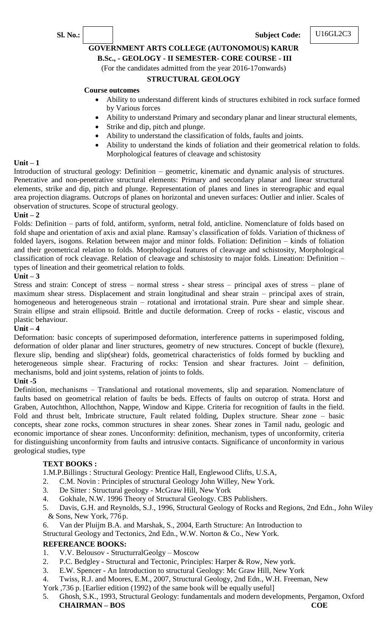**Sl. No.: Subject Code:**

### **GOVERNMENT ARTS COLLEGE (AUTONOMOUS) KARUR**

### **B.Sc., - GEOLOGY - II SEMESTER- CORE COURSE - III**

(For the candidates admitted from the year 2016-17onwards)

### **STRUCTURAL GEOLOGY**

### **Course outcomes**

- Ability to understand different kinds of structures exhibited in rock surface formed by Various forces
- Ability to understand Primary and secondary planar and linear structural elements,
- Strike and dip, pitch and plunge.
- Ability to understand the classification of folds, faults and joints.
- Ability to understand the kinds of foliation and their geometrical relation to folds. Morphological features of cleavage and schistosity

#### **Unit – 1**

Introduction of structural geology: Definition – geometric, kinematic and dynamic analysis of structures. Penetrative and non-penetrative structural elements: Primary and secondary planar and linear structural elements, strike and dip, pitch and plunge. Representation of planes and lines in stereographic and equal area projection diagrams. Outcrops of planes on horizontal and uneven surfaces: Outlier and inlier. Scales of observation of structures. Scope of structural geology.

#### **Unit – 2**

Folds: Definition – parts of fold, antiform, synform, netral fold, anticline. Nomenclature of folds based on fold shape and orientation of axis and axial plane. Ramsay's classification of folds. Variation of thickness of folded layers, isogons. Relation between major and minor folds. Foliation: Definition – kinds of foliation and their geometrical relation to folds. Morphological features of cleavage and schistosity, Morphological classification of rock cleavage. Relation of cleavage and schistosity to major folds. Lineation: Definition – types of lineation and their geometrical relation to folds.

### **Unit – 3**

Stress and strain: Concept of stress – normal stress - shear stress – principal axes of stress – plane of maximum shear stress. Displacement and strain longitudinal and shear strain – principal axes of strain, homogeneous and heterogeneous strain – rotational and irrotational strain. Pure shear and simple shear. Strain ellipse and strain ellipsoid. Brittle and ductile deformation. Creep of rocks - elastic, viscous and plastic behaviour.

### **Unit – 4**

Deformation: basic concepts of superimposed deformation, interference patterns in superimposed folding, deformation of older planar and liner structures, geometry of new structures. Concept of buckle (flexure), flexure slip, bending and slip(shear) folds, geometrical characteristics of folds formed by buckling and heterogeneous simple shear. Fracturing of rocks: Tension and shear fractures. Joint – definition, mechanisms, bold and joint systems, relation of joints to folds.

### **Unit -5**

Definition, mechanisms – Translational and rotational movements, slip and separation. Nomenclature of faults based on geometrical relation of faults be beds. Effects of faults on outcrop of strata. Horst and Graben, Autochthon, Allochthon, Nappe, Window and Kippe. Criteria for recognition of faults in the field. Fold and thrust belt, Imbricate structure, Fault related folding, Duplex structure. Shear zone – basic concepts, shear zone rocks, common structures in shear zones. Shear zones in Tamil nadu, geologic and economic importance of shear zones. Unconformity: definition, mechanism, types of unconformity, criteria for distinguishing unconformity from faults and intrusive contacts. Significance of unconformity in various geological studies, type

### **TEXT BOOKS :**

1.M.P.Billings : Structural Geology: Prentice Hall, Englewood Clifts, U.S.A,

- 2. C.M. Novin : Principles of structural Geology John Willey, New York.
- 3. De Sitter : Structural geology McGraw Hill, New York
- 4. Gokhale, N.W. 1996 Theory of Structural Geology. CBS Publishers.
- 5. Davis, G.H. and Reynolds, S.J., 1996, Structural Geology of Rocks and Regions, 2nd Edn., John Wiley & Sons, New York, 776 p.
- 6. Van der Pluijm B.A. and Marshak, S., 2004, Earth Structure: An Introduction to

Structural Geology and Tectonics, 2nd Edn., W.W. Norton & Co., New York.

### **REFEREANCE BOOKS:**

- 1. V.V. Belousov StructurralGeolgy Moscow
- 2. P.C. Bedgley Structural and Tectonic, Principles: Harper & Row, New york.
- 3. E.W. Spencer An Introduction to structural Geology: Mc Graw Hill, New York
- 4. Twiss, R.J. and Moores, E.M., 2007, Structural Geology, 2nd Edn., W.H. Freeman, New
- York ,736 p. [Earlier edition (1992) of the same book will be equally useful]
- 5. Ghosh, S.K., 1993, Structural Geology: fundamentals and modern developments, Pergamon, Oxford **CHAIRMAN – BOS COE**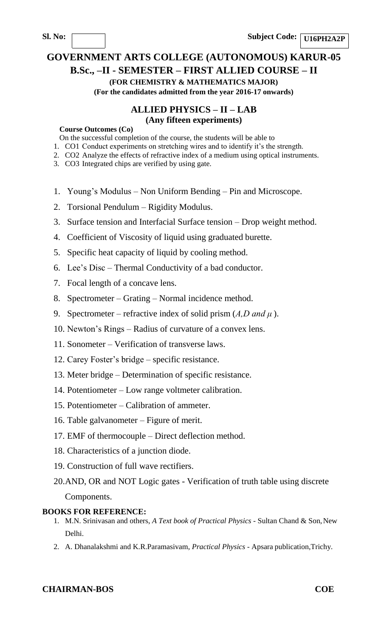# **GOVERNMENT ARTS COLLEGE (AUTONOMOUS) KARUR-05 B.Sc., –II - SEMESTER – FIRST ALLIED COURSE – II**

# **(FOR CHEMISTRY & MATHEMATICS MAJOR)**

**(For the candidates admitted from the year 2016-17 onwards)**

# **ALLIED PHYSICS – II – LAB (Any fifteen experiments)**

#### **Course Outcomes (Co)**

On the successful completion of the course, the students will be able to

- 1. CO1 Conduct experiments on stretching wires and to identify it's the strength.
- 2. CO2 Analyze the effects of refractive index of a medium using optical instruments.
- 3. CO3 Integrated chips are verified by using gate.
- 1. Young's Modulus Non Uniform Bending Pin and Microscope.
- 2. Torsional Pendulum Rigidity Modulus.
- 3. Surface tension and Interfacial Surface tension Drop weight method.
- 4. Coefficient of Viscosity of liquid using graduated burette.
- 5. Specific heat capacity of liquid by cooling method.
- 6. Lee's Disc Thermal Conductivity of a bad conductor.
- 7. Focal length of a concave lens.
- 8. Spectrometer Grating Normal incidence method.
- 9. Spectrometer refractive index of solid prism (*A,D and μ* ).
- 10. Newton's Rings Radius of curvature of a convex lens.
- 11. Sonometer Verification of transverse laws.
- 12. Carey Foster's bridge specific resistance.
- 13. Meter bridge Determination of specific resistance.
- 14. Potentiometer Low range voltmeter calibration.
- 15. Potentiometer Calibration of ammeter.
- 16. Table galvanometer Figure of merit.
- 17. EMF of thermocouple Direct deflection method.
- 18. Characteristics of a junction diode.
- 19. Construction of full wave rectifiers.
- 20.AND, OR and NOT Logic gates Verification of truth table using discrete Components.

### **BOOKS FOR REFERENCE:**

- 1. M.N. Srinivasan and others, *A Text book of Practical Physics*  Sultan Chand & Son,New Delhi.
- 2. A. Dhanalakshmi and K.R.Paramasivam, *Practical Physics*  Apsara publication,Trichy.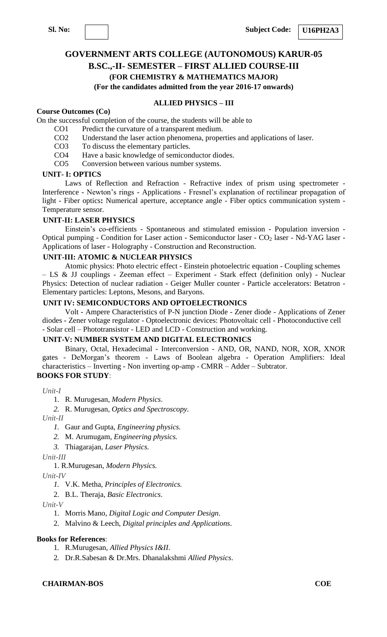#### **U16PH2A3**

# **GOVERNMENT ARTS COLLEGE (AUTONOMOUS) KARUR-05 B.SC.,-II- SEMESTER – FIRST ALLIED COURSE-III**

### **(FOR CHEMISTRY & MATHEMATICS MAJOR)**

**(For the candidates admitted from the year 2016-17 onwards)**

### **ALLIED PHYSICS – III**

#### **Course Outcomes (Co)**

On the successful completion of the course, the students will be able to

- CO1 Predict the curvature of a transparent medium.
- CO2 Understand the laser action phenomena, properties and applications of laser.
- CO3 To discuss the elementary particles.
- CO4 Have a basic knowledge of semiconductor diodes.
- CO5 Conversion between various number systems.

#### **UNIT- I: OPTICS**

Laws of Reflection and Refraction - Refractive index of prism using spectrometer - Interference - Newton's rings - Applications - Fresnel's explanation of rectilinear propagation of light - Fiber optics**:** Numerical aperture, acceptance angle - Fiber optics communication system - Temperature sensor.

#### **UNIT-II: LASER PHYSICS**

Einstein's co-efficients - Spontaneous and stimulated emission - Population inversion - Optical pumping - Condition for Laser action - Semiconductor laser - CO<sub>2</sub> laser - Nd-YAG laser -Applications of laser - Holography - Construction and Reconstruction.

#### **UNIT-III: ATOMIC & NUCLEAR PHYSICS**

Atomic physics: Photo electric effect - Einstein photoelectric equation - Coupling schemes – LS & JJ couplings - Zeeman effect – Experiment - Stark effect (definition only) - Nuclear Physics: Detection of nuclear radiation - Geiger Muller counter - Particle accelerators: Betatron - Elementary particles: Leptons, Mesons, and Baryons.

### **UNIT IV: SEMICONDUCTORS AND OPTOELECTRONICS**

Volt - Ampere Characteristics of P-N junction Diode - Zener diode - Applications of Zener diodes - Zener voltage regulator - Optoelectronic devices: Photovoltaic cell - Photoconductive cell - Solar cell – Phototransistor - LED and LCD - Construction and working.

#### **UNIT-V: NUMBER SYSTEM AND DIGITAL ELECTRONICS**

Binary, Octal, Hexadecimal - Interconversion - AND, OR, NAND, NOR, XOR, XNOR gates - DeMorgan's theorem - Laws of Boolean algebra - Operation Amplifiers: Ideal characteristics – Inverting - Non inverting op-amp - CMRR – Adder – Subtrator. **BOOKS FOR STUDY**:

*Unit-I*

1. R. Murugesan, *Modern Physics*.

*2.* R. Murugesan, *Optics and Spectroscopy.*

*Unit-II*

- *1.* Gaur and Gupta, *Engineering physics.*
- *2.* M. Arumugam, *Engineering physics.*
- *3.* Thiagarajan, *Laser Physics.*

*Unit-III*

1. R.Murugesan, *Modern Physics.*

*Unit-IV*

- *1.* V.K. Metha, *Principles of Electronics.*
- 2. B.L. Theraja, *Basic Electronics*.

*Unit-V*

- 1. Morris Mano, *Digital Logic and Computer Design*.
- 2. Malvino & Leech, *Digital principles and Applications*.

#### **Books for References**:

1. R.Murugesan, *Allied Physics I&II*.

2. Dr.R.Sabesan & Dr.Mrs. Dhanalakshmi *Allied Physics*.

#### **CHAIRMAN-BOS COE**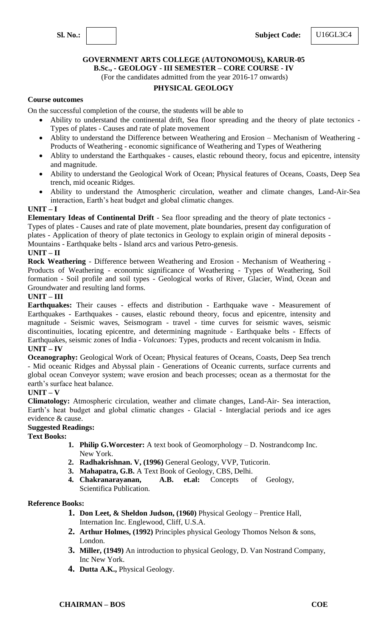#### **GOVERNMENT ARTS COLLEGE (AUTONOMOUS), KARUR-05 B.Sc., - GEOLOGY - III SEMESTER – CORE COURSE - IV**

(For the candidates admitted from the year 2016-17 onwards)

### **PHYSICAL GEOLOGY**

### **Course outcomes**

On the successful completion of the course, the students will be able to

- Ability to understand the continental drift, Sea floor spreading and the theory of plate tectonics Types of plates - Causes and rate of plate movement
- Ablity to understand the Difference between Weathering and Erosion Mechanism of Weathering Products of Weathering - economic significance of Weathering and Types of Weathering
- Ablity to understand the Earthquakes causes, elastic rebound theory, focus and epicentre, intensity and magnitude.
- Ability to understand the Geological Work of Ocean; Physical features of Oceans, Coasts, Deep Sea trench, mid oceanic Ridges.
- Ability to understand the Atmospheric circulation, weather and climate changes, Land-Air-Sea interaction, Earth's heat budget and global climatic changes.

### **UNIT – I**

**Elementary Ideas of Continental Drift** - Sea floor spreading and the theory of plate tectonics - Types of plates - Causes and rate of plate movement, plate boundaries, present day configuration of plates - Application of theory of plate tectonics in Geology to explain origin of mineral deposits - Mountains - Earthquake belts - Island arcs and various Petro-genesis. **UNIT – II**

**Rock Weathering** - Difference between Weathering and Erosion - Mechanism of Weathering - Products of Weathering - economic significance of Weathering - Types of Weathering, Soil formation - Soil profile and soil types - Geological works of River, Glacier, Wind, Ocean and Groundwater and resulting land forms.

### **UNIT – III**

**Earthquakes:** Their causes - effects and distribution - Earthquake wave - Measurement of Earthquakes - Earthquakes - causes, elastic rebound theory, focus and epicentre, intensity and magnitude - Seismic waves, Seismogram - travel - time curves for seismic waves, seismic discontinuities, locating epicentre, and determining magnitude - Earthquake belts - Effects of Earthquakes, seismic zones of India - *Volcanoes:* Types, products and recent volcanism in India. **UNIT – IV**

**Oceanography:** Geological Work of Ocean; Physical features of Oceans, Coasts, Deep Sea trench - Mid oceanic Ridges and Abyssal plain - Generations of Oceanic currents, surface currents and global ocean Conveyor system; wave erosion and beach processes; ocean as a thermostat for the earth's surface heat balance.

### **UNIT – V**

**Climatology:** Atmospheric circulation, weather and climate changes, Land-Air- Sea interaction, Earth's heat budget and global climatic changes - Glacial - Interglacial periods and ice ages evidence & cause.

### **Suggested Readings:**

### **Text Books:**

- **1. Philip G.Worcester:** A text book of Geomorphology D. Nostrandcomp Inc. New York.
- **2. Radhakrishnan. V, (1996)** General Geology, VVP, Tuticorin.
- **3. Mahapatra, G.B.** A Text Book of Geology, CBS, Delhi.
- **4. Chakranarayanan, A.B. et.al:** Concepts of Geology, Scientifica Publication.

- **1. Don Leet, & Sheldon Judson, (1960)** Physical Geology Prentice Hall, Internation Inc. Englewood, Cliff, U.S.A.
- **2. Arthur Holmes, (1992)** Principles physical Geology Thomos Nelson & sons, London.
- **3. Miller, (1949)** An introduction to physical Geology, D. Van Nostrand Company, Inc New York.
- **4. Dutta A.K.,** Physical Geology.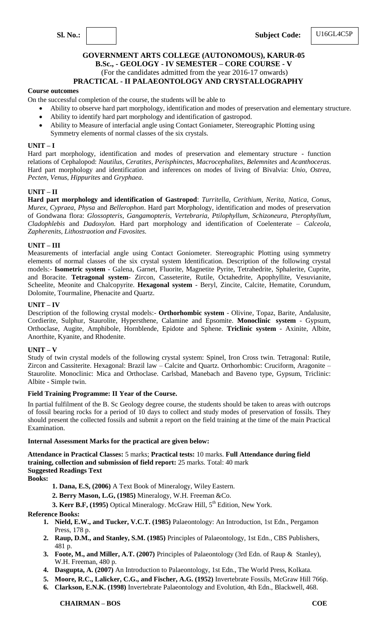### **GOVERNMENT ARTS COLLEGE (AUTONOMOUS), KARUR-05 B.Sc., - GEOLOGY - IV SEMESTER – CORE COURSE - V** (For the candidates admitted from the year 2016-17 onwards) **PRACTICAL - II PALAEONTOLOGY AND CRYSTALLOGRAPHY**

#### **Course outcomes**

On the successful completion of the course, the students will be able to

- Ability to observe hard part morphology, identification and modes of preservation and elementary structure.
- Ability to identify hard part morphology and identification of gastropod.
- Ability to Measure of interfacial angle using Contact Goniameter, Stereographic Plotting using Symmetry elements of normal classes of the six crystals.

#### **UNIT – I**

Hard part morphology, identification and modes of preservation and elementary structure - function relations of Cephalopod: *Nautilus*, *Ceratites*, *Perisphinctes*, *Macrocephalites*, *Belemnites* and *Acanthoceras*. Hard part morphology and identification and inferences on modes of living of Bivalvia: *Unio*, *Ostrea*, *Pecten*, *Venus*, *Hippurites* and *Gryphaea*.

#### **UNIT – II**

**Hard part morphology and identification of Gastropod**: *Turritella*, *Cerithium*, *Nerita*, *Natica*, *Conus*, *Murex*, *Cypraea*, *Physa* and *Bellerophon*. Hard part Morphology, identification and modes of preservation of Gondwana flora: *Glossopteris*, *Gangamopteris*, *Vertebraria*, *Ptilophyllum*, *Schizoneura*, *Pterophyllum*, *Cladophlebis* and *Dadoxylon*. Hard part morphology and identification of Coelenterate – *Calceola, Zapherenits, Lithostraotion and Favosites.*

### **UNIT – III**

Measurements of interfacial angle using Contact Goniometer. Stereographic Plotting using symmetry elements of normal classes of the six crystal system Identification. Description of the following crystal models:- **Isometric system** - Galena, Garnet, Fluorite, Magnetite Pyrite, Tetrahedrite, Sphalerite, Cuprite, and Boracite. **Tetragonal system**- Zircon, Casseterite, Rutile, Octahedrite, Apophyllite, Vesuvianite, Scheelite, Meonite and Chalcopyrite. **Hexagonal system** - Beryl, Zincite, Calcite, Hematite, Corundum, Dolomite, Tourmaline, Phenacite and Quartz.

#### **UNIT – IV**

Description of the following crystal models:- **Orthorhombic system** - Olivine, Topaz, Barite, Andalusite, Cordierite, Sulphur, Staurolite, Hypersthene, Calamine and Epsomite. **Monoclinic system** - Gypsum, Orthoclase, Augite, Amphibole, Hornblende, Epidote and Sphene. **Triclinic system** - Axinite, Albite, Anorthite, Kyanite, and Rhodenite.

#### **UNIT – V**

Study of twin crystal models of the following crystal system: Spinel, Iron Cross twin. Tetragonal: Rutile, Zircon and Cassiterite. Hexagonal: Brazil law – Calcite and Quartz. Orthorhombic: Cruciform, Aragonite – Staurolite. Monoclinic: Mica and Orthoclase. Carlsbad, Manebach and Baveno type, Gypsum, Triclinic: Albite - Simple twin.

#### **Field Training Programme: II Year of the Course.**

In partial fulfilment of the B. Sc Geology degree course, the students should be taken to areas with outcrops of fossil bearing rocks for a period of 10 days to collect and study modes of preservation of fossils. They should present the collected fossils and submit a report on the field training at the time of the main Practical Examination.

#### **Internal Assessment Marks for the practical are given below:**

**Attendance in Practical Classes:** 5 marks; **Practical tests:** 10 marks. **Full Attendance during field training, collection and submission of field report:** 25 marks. Total: 40 mark **Suggested Readings Text** 

**Books:**

- **1. Dana, E.S, (2006)** A Text Book of Mineralogy, Wiley Eastern.
- **2. Berry Mason, L.G, (1985)** Mineralogy, W.H. Freeman &Co.
- **3. Kerr B.F, (1995)** Optical Mineralogy. McGraw Hill, 5<sup>th</sup> Edition, New York.

- **1. Nield, E.W., and Tucker, V.C.T. (1985)** Palaeontology: An Introduction, 1st Edn., Pergamon Press, 178 p.
- **2. Raup, D.M., and Stanley, S.M. (1985)** Principles of Palaeontology, 1st Edn., CBS Publishers, 481 p.
- **3. Foote, M., and Miller, A.T. (2007)** Principles of Palaeontology (3rd Edn. of Raup & Stanley), W.H. Freeman, 480 p.
- **4. Dasgupta, A. (2007)** An Introduction to Palaeontology, 1st Edn., The World Press, Kolkata.
- **5. Moore, R.C., Lalicker, C.G., and Fischer, A.G. (1952)** Invertebrate Fossils, McGraw Hill 766p.
- **6. Clarkson, E.N.K. (1998)** Invertebrate Palaeontology and Evolution, 4th Edn., Blackwell, 468.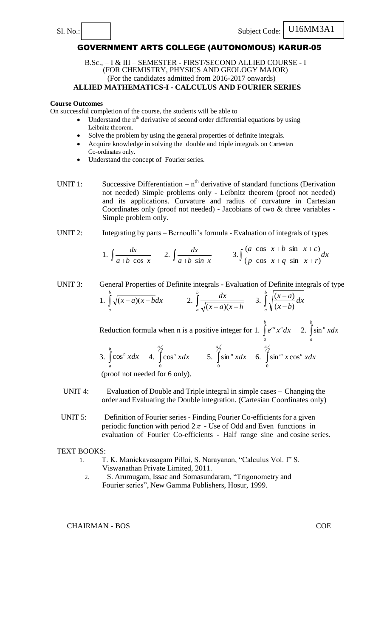#### B.Sc., – I & III – SEMESTER - FIRST/SECOND ALLIED COURSE - I (FOR CHEMISTRY, PHYSICS AND GEOLOGY MAJOR) (For the candidates admitted from 2016-2017 onwards) **ALLIED MATHEMATICS-I - CALCULUS AND FOURIER SERIES**

#### **Course Outcomes**

On successful completion of the course, the students will be able to

- $\bullet$  Understand the n<sup>th</sup> derivative of second order differential equations by using Leibnitz theorem.
- Solve the problem by using the general properties of definite integrals.
- Acquire knowledge in solving the double and triple integrals on Cartesian Co-ordinates only.
- Understand the concept of Fourier series.
- UNIT 1: Successive Differentiation  $n<sup>th</sup>$  derivative of standard functions (Derivation not needed) Simple problems only - Leibnitz theorem (proof not needed) and its applications. Curvature and radius of curvature in Cartesian Coordinates only (proof not needed) - Jacobians of two & three variables - Simple problem only.
- UNIT 2: Integrating by parts Bernoulli's formula Evaluation of integrals of types

1. 
$$
\int \frac{dx}{a+b \cos x} = 2 \int \frac{dx}{a+b \sin x} = 3 \int \frac{(a \cos x+b \sin x+c)}{(p \cos x+q \sin x+r)} dx
$$

UNIT 3: General Properties of Definite integrals - Evaluation of Definite integrals of type 1.  $\int \sqrt{(x-a)(x-a)}$ *b a*  $(x-a)(x-b)dx$ 2.  $\int_{a} \frac{ax}{\sqrt{(x-a)(x-a)}}$ *b*  $\int_a^b \sqrt{(x-a)(x-b)}$ *dx*  $(x-a)(x)$ 3.  $\int_{a} \sqrt{\frac{u}{x-1}}$  $\int_a^b$   $\sqrt{x-1}$ *a dx x b*  $x - a$  $(x - b)$  $(x - a)$ 

> Reduction formula when n is a positive integer for 1.  $\int$ *b a*  $e^{ax}x^ndx$  2. *b a n* sin *xdx*

3. 
$$
\int_{a}^{b} \cos^{n} x dx
$$
 4. 
$$
\int_{0}^{\pi/2} \cos^{n} x dx
$$
 5. 
$$
\int_{0}^{\pi/2} \sin^{n} x dx
$$
 6. 
$$
\int_{0}^{\pi/2} \sin^{m} x \cos^{n} x dx
$$

(proof not needed for 6 only).

- UNIT 4: Evaluation of Double and Triple integral in simple cases Changing the order and Evaluating the Double integration. (Cartesian Coordinates only)
- UNIT 5: Definition of Fourier series Finding Fourier Co-efficients for a given periodic function with period  $2\pi$  - Use of Odd and Even functions in evaluation of Fourier Co-efficients - Half range sine and cosine series.

#### TEXT BOOKS:

- 1. T. K. Manickavasagam Pillai, S. Narayanan, "Calculus Vol. I" S. Viswanathan Private Limited, 2011.
	- 2. S. Arumugam, Issac and Somasundaram, "Trigonometry and Fourier series", New Gamma Publishers, Hosur, 1999.

CHAIRMAN - BOS COE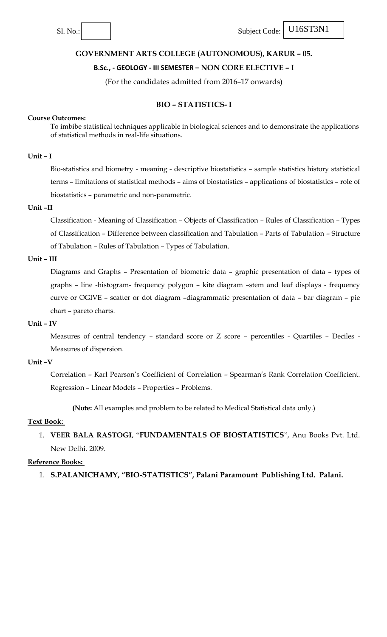### **B.Sc., - GEOLOGY - III SEMESTER – NON CORE ELECTIVE – I**

(For the candidates admitted from 2016–17 onwards)

### **BIO – STATISTICS- I**

#### **Course Outcomes:**

To imbibe statistical techniques applicable in biological sciences and to demonstrate the applications of statistical methods in real-life situations.

### **Unit – I**

Bio-statistics and biometry - meaning - descriptive biostatistics – sample statistics history statistical terms – limitations of statistical methods – aims of biostatistics – applications of biostatistics – role of biostatistics – parametric and non-parametric.

#### **Unit –II**

Classification - Meaning of Classification – Objects of Classification – Rules of Classification – Types of Classification – Difference between classification and Tabulation – Parts of Tabulation – Structure of Tabulation – Rules of Tabulation – Types of Tabulation.

### **Unit – III**

Diagrams and Graphs – Presentation of biometric data – graphic presentation of data – types of graphs – line -histogram- frequency polygon – kite diagram –stem and leaf displays - frequency curve or OGIVE – scatter or dot diagram –diagrammatic presentation of data – bar diagram – pie chart – pareto charts.

#### **Unit – IV**

Measures of central tendency - standard score or Z score - percentiles - Quartiles - Deciles -Measures of dispersion.

### **Unit –V**

Correlation – Karl Pearson's Coefficient of Correlation – Spearman's Rank Correlation Coefficient. Regression – Linear Models – Properties – Problems.

**(Note:** All examples and problem to be related to Medical Statistical data only.)

#### **Text Book**:

1. VEER BALA RASTOGI, "FUNDAMENTALS OF BIOSTATISTICS", Anu Books Pvt. Ltd. New Delhi. 2009.

#### **Reference Books:**

1. **S.PALANICHAMY, "BIO-STATISTICS", Palani Paramount Publishing Ltd. Palani.**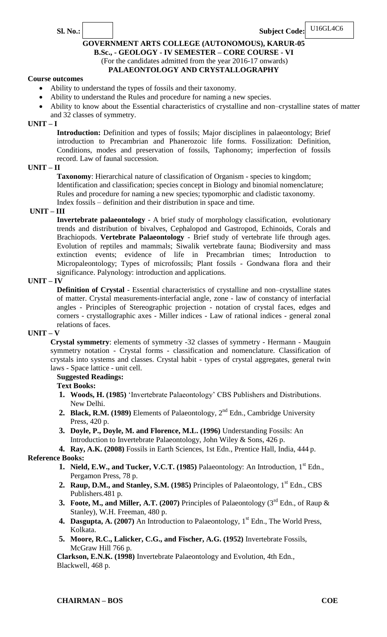**Sl. No.: Subject Code:**

### **GOVERNMENT ARTS COLLEGE (AUTONOMOUS), KARUR-05 B.Sc., - GEOLOGY - IV SEMESTER – CORE COURSE - VI** (For the candidates admitted from the year 2016-17 onwards) **PALAEONTOLOGY AND CRYSTALLOGRAPHY**

### **Course outcomes**

- Ability to understand the types of fossils and their taxonomy.
- Ability to understand the Rules and procedure for naming a new species.
- Ability to know about the Essential characteristics of crystalline and non–crystalline states of matter and 32 classes of symmetry.

### **UNIT – I**

**Introduction:** Definition and types of fossils; Major disciplines in palaeontology; Brief introduction to Precambrian and Phanerozoic life forms. Fossilization: Definition, Conditions, modes and preservation of fossils, Taphonomy; imperfection of fossils record. Law of faunal succession.

### **UNIT – II**

**Taxonomy**: Hierarchical nature of classification of Organism - species to kingdom; Identification and classification; species concept in Biology and binomial nomenclature; Rules and procedure for naming a new species; typomorphic and cladistic taxonomy. Index fossils – definition and their distribution in space and time.

### **UNIT – III**

**Invertebrate palaeontology** - A brief study of morphology classification, evolutionary trends and distribution of bivalves, Cephalopod and Gastropod, Echinoids, Corals and Brachiopods. **Vertebrate Palaeontology** - Brief study of vertebrate life through ages. Evolution of reptiles and mammals; Siwalik vertebrate fauna; Biodiversity and mass extinction events; evidence of life in Precambrian times; Introduction to Micropaleontology; Types of microfossils; Plant fossils - Gondwana flora and their significance. Palynology: introduction and applications.

### **UNIT – IV**

**Definition of Crystal** - Essential characteristics of crystalline and non–crystalline states of matter. Crystal measurements-interfacial angle, zone - law of constancy of interfacial angles - Principles of Stereographic projection - notation of crystal faces, edges and corners - crystallographic axes - Miller indices - Law of rational indices - general zonal relations of faces.

### **UNIT – V**

**Crystal symmetry**: elements of symmetry -32 classes of symmetry - Hermann - Mauguin symmetry notation - Crystal forms - classification and nomenclature. Classification of crystals into systems and classes. Crystal habit - types of crystal aggregates, general twin laws - Space lattice - unit cell.

### **Suggested Readings:**

### **Text Books:**

- **1. Woods, H. (1985)** 'Invertebrate Palaeontology' CBS Publishers and Distributions. New Delhi.
- 2. **Black, R.M. (1989)** Elements of Palaeontology, 2<sup>nd</sup> Edn., Cambridge University Press, 420 p.
- **3. Doyle, P., Doyle, M. and Florence, M.L. (1996)** Understanding Fossils: An Introduction to Invertebrate Palaeontology, John Wiley & Sons, 426 p.

# **4. Ray, A.K. (2008)** Fossils in Earth Sciences, 1st Edn., Prentice Hall, India, 444 p.

### **Reference Books:**

- **1.** Nield, E.W., and Tucker, V.C.T. (1985) Palaeontology: An Introduction, 1<sup>st</sup> Edn., Pergamon Press, 78 p.
- **2. Raup, D.M., and Stanley, S.M. (1985)** Principles of Palaeontology, 1<sup>st</sup> Edn., CBS Publishers.481 p.
- **3. Foote, M., and Miller, A.T. (2007)** Principles of Palaeontology (3<sup>rd</sup> Edn., of Raup & Stanley), W.H. Freeman, 480 p.
- **4. Dasgupta, A. (2007)** An Introduction to Palaeontology, 1<sup>st</sup> Edn., The World Press, Kolkata.
- **5. Moore, R.C., Lalicker, C.G., and Fischer, A.G. (1952)** Invertebrate Fossils, McGraw Hill 766 p.

**Clarkson, E.N.K. (1998)** Invertebrate Palaeontology and Evolution, 4th Edn., Blackwell, 468 p.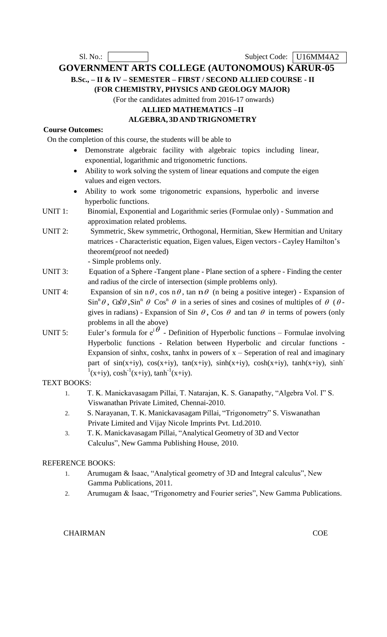Sl. No.: Subject Code: U16MM4A2

**GOVERNMENT ARTS COLLEGE (AUTONOMOUS) KARUR-05 B.Sc., – II & IV – SEMESTER – FIRST / SECOND ALLIED COURSE - II**

**(FOR CHEMISTRY, PHYSICS AND GEOLOGY MAJOR)**

(For the candidates admitted from 2016-17 onwards)

### **ALLIED MATHEMATICS –II**

### **ALGEBRA, 3DAND TRIGNOMETRY**

# **Course Outcomes:**

On the completion of this course, the students will be able to

- Demonstrate algebraic facility with algebraic topics including linear, exponential, logarithmic and trigonometric functions.
- Ability to work solving the system of linear equations and compute the eigen values and eigen vectors.
- Ability to work some trigonometric expansions, hyperbolic and inverse hyperbolic functions.
- UNIT 1: Binomial, Exponential and Logarithmic series (Formulae only) Summation and approximation related problems.
- UNIT 2: Symmetric, Skew symmetric, Orthogonal, Hermitian, Skew Hermitian and Unitary matrices - Characteristic equation, Eigen values, Eigen vectors - Cayley Hamilton's theorem(proof not needed)

- Simple problems only.

- UNIT 3: Equation of a Sphere -Tangent plane Plane section of a sphere Finding the center and radius of the circle of intersection (simple problems only).
- UNIT 4: Expansion of sin n $\theta$ , cos n $\theta$ , tan n $\theta$  (n being a positive integer) Expansion of  $\sin^n \theta$ ,  $\cos^n \theta$ ,  $\sin^n \theta$   $\cos^n \theta$  in a series of sines and cosines of multiples of  $\theta$  ( $\theta$ gives in radians) - Expansion of Sin  $\theta$ , Cos  $\theta$  and tan  $\theta$  in terms of powers (only problems in all the above)
- UNIT 5: Euler's formula for  $e^{i\theta}$  Definition of Hyperbolic functions Formulae involving Hyperbolic functions - Relation between Hyperbolic and circular functions - Expansion of sinhx, coshx, tanhx in powers of  $x -$  Seperation of real and imaginary part of  $sin(x+iy)$ ,  $cos(x+iy)$ ,  $tan(x+iy)$ ,  $sinh(x+iy)$ ,  $cosh(x+iy)$ ,  $tanh(x+iy)$ ,  $sinh^{-1}$  $^{1}(x+iy)$ , cosh<sup>-1</sup>(x+iy), tanh<sup>-1</sup>(x+iy).

### TEXT BOOKS:

- 1. T. K. Manickavasagam Pillai, T. Natarajan, K. S. Ganapathy, "Algebra Vol. I" S. Viswanathan Private Limited, Chennai-2010.
- 2. S. Narayanan, T. K. Manickavasagam Pillai, "Trigonometry" S. Viswanathan Private Limited and Vijay Nicole Imprints Pvt. Ltd.2010.
- 3. T. K. Manickavasagam Pillai, "Analytical Geometry of 3D and Vector Calculus", New Gamma Publishing House, 2010.

### REFERENCE BOOKS:

- 1. Arumugam & Isaac, "Analytical geometry of 3D and Integral calculus", New Gamma Publications, 2011.
- 2. Arumugam & Isaac, "Trigonometry and Fourier series", New Gamma Publications.

### CHAIRMAN COE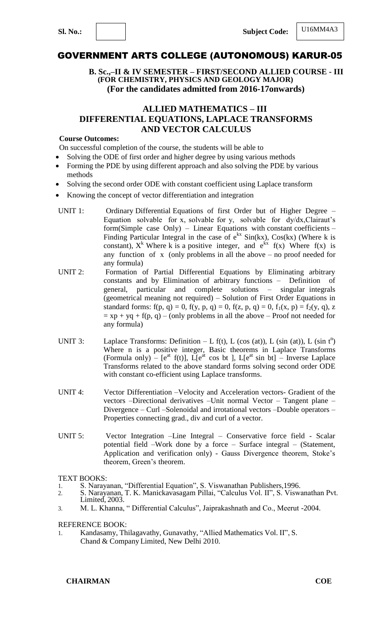**B. Sc.,–II & IV SEMESTER – FIRST/SECOND ALLIED COURSE - III (FOR CHEMISTRY, PHYSICS AND GEOLOGY MAJOR) (For the candidates admitted from 2016-17onwards)** 

### **ALLIED MATHEMATICS – III DIFFERENTIAL EQUATIONS, LAPLACE TRANSFORMS AND VECTOR CALCULUS**

#### **Course Outcomes:**

On successful completion of the course, the students will be able to

- Solving the ODE of first order and higher degree by using various methods
- Forming the PDE by using different approach and also solving the PDE by various methods
- Solving the second order ODE with constant coefficient using Laplace transform
- Knowing the concept of vector differentiation and integration
- UNIT 1: Ordinary Differential Equations of first Order but of Higher Degree Equation solvable for x, solvable for y, solvable for dy/dx,Clairaut's form(Simple case Only) – Linear Equations with constant coefficients – Finding Particular Integral in the case of  $e^{kx}$  Sin(kx), Cos(kx) (Where k is constant),  $X^k$  Where k is a positive integer, and  $e^{kx}$  f(x) Where f(x) is any function of x (only problems in all the above  $-$  no proof needed for any formula)
- UNIT 2: Formation of Partial Differential Equations by Eliminating arbitrary constants and by Elimination of arbitrary functions – Definition of general, particular and complete solutions – singular integrals (geometrical meaning not required) – Solution of First Order Equations in standard forms: f(p, q) = 0, f(y, p, q) = 0, f(z, p, q) = 0, f<sub>1</sub>(x, p) = f<sub>2</sub>(y, q), z  $= xp + yq + f(p, q) - (only problems in all the above - Proof not needed for$ any formula)
- UNIT 3: Laplace Transforms: Definition  $L f(t)$ , L (cos (at)), L (sin (at)), L (sin  $t^n$ ) Where n is a positive integer, Basic theorems in Laplace Transforms (Formula only) –  $[e^{at} f(t)]$ ,  $\tilde{L}[e^{at} \cos bt]$ ,  $L[e^{at} \sin bt]$  – Inverse Laplace Transforms related to the above standard forms solving second order ODE with constant co-efficient using Laplace transforms.
- UNIT 4: Vector Differentiation –Velocity and Acceleration vectors- Gradient of the vectors –Directional derivatives –Unit normal Vector – Tangent plane – Divergence – Curl –Solenoidal and irrotational vectors –Double operators – Properties connecting grad., div and curl of a vector.
- UNIT 5: Vector Integration –Line Integral Conservative force field Scalar potential field –Work done by a force – Surface integral – (Statement, Application and verification only) - Gauss Divergence theorem, Stoke's theorem, Green's theorem.

TEXT BOOKS:

- 1. S. Narayanan, "Differential Equation", S. Viswanathan Publishers, 1996.
- 2. S. Narayanan, T. K. Manickavasagam Pillai, "Calculus Vol. II", S. Viswanathan Pvt. Limited, 2003.
- 3. M. L. Khanna, "Differential Calculus", Jaiprakashnath and Co., Meerut -2004.

REFERENCE BOOK:

1. Kandasamy, Thilagavathy, Gunavathy, "Allied Mathematics Vol. II", S. Chand & Company Limited, New Delhi 2010.

**CHAIRMAN COE**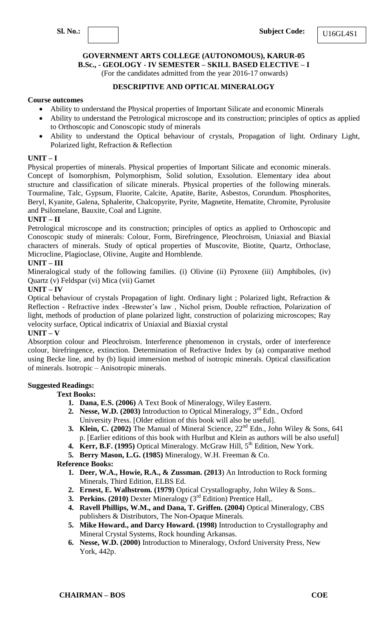

**B.Sc., - GEOLOGY - IV SEMESTER – SKILL BASED ELECTIVE – I**

(For the candidates admitted from the year 2016-17 onwards)

### **DESCRIPTIVE AND OPTICAL MINERALOGY**

#### **Course outcomes**

- Ability to understand the Physical properties of Important Silicate and economic Minerals
- Ability to understand the Petrological microscope and its construction; principles of optics as applied to Orthoscopic and Conoscopic study of minerals
- Ability to understand the Optical behaviour of crystals, Propagation of light. Ordinary Light, Polarized light, Refraction & Reflection

### **UNIT – I**

Physical properties of minerals. Physical properties of Important Silicate and economic minerals. Concept of Isomorphism, Polymorphism, Solid solution, Exsolution. Elementary idea about structure and classification of silicate minerals. Physical properties of the following minerals. Tourmaline, Talc, Gypsum, Fluorite, Calcite, Apatite, Barite, Asbestos, Corundum. Phosphorites, Beryl, Kyanite, Galena, Sphalerite, Chalcopyrite, Pyrite, Magnetite, Hematite, Chromite, Pyrolusite and Psilomelane, Bauxite, Coal and Lignite.

### **UNIT – II**

Petrological microscope and its construction; principles of optics as applied to Orthoscopic and Conoscopic study of minerals: Colour, Form, Birefringence, Pleochroism, Uniaxial and Biaxial characters of minerals. Study of optical properties of Muscovite, Biotite, Quartz, Orthoclase, Microcline, Plagioclase, Olivine, Augite and Hornblende.

### **UNIT – III**

Mineralogical study of the following families. (i) Olivine (ii) Pyroxene (iii) Amphiboles, (iv) Quartz (v) Feldspar (vi) Mica (vii) Garnet

### **UNIT – IV**

Optical behaviour of crystals Propagation of light. Ordinary light ; Polarized light, Refraction & Reflection - Refractive index -Brewster's law , Nichol prism, Double refraction, Polarization of light, methods of production of plane polarized light, construction of polarizing microscopes; Ray velocity surface, Optical indicatrix of Uniaxial and Biaxial crystal

### **UNIT – V**

Absorption colour and Pleochroism. Interference phenomenon in crystals, order of interference colour, birefringence, extinction. Determination of Refractive Index by (a) comparative method using Becke line, and by (b) liquid immersion method of isotropic minerals. Optical classification of minerals. Isotropic – Anisotropic minerals.

### **Suggested Readings:**

- **Text Books:**
	- **1. Dana, E.S. (2006)** A Text Book of Mineralogy, Wiley Eastern.
	- **2. Nesse, W.D.** (2003) Introduction to Optical Mineralogy,  $3^{rd}$  Edn., Oxford University Press. [Older edition of this book will also be useful].
	- **3. Klein, C.** (2002) The Manual of Mineral Science,  $22^{nd}$  Edn., John Wiley & Sons, 641 p. [Earlier editions of this book with Hurlbut and Klein as authors will be also useful]
	- **4. Kerr, B.F. (1995)** Optical Mineralogy. McGraw Hill, 5<sup>th</sup> Edition, New York.
	- **5. Berry Mason, L.G. (1985)** Mineralogy, W.H. Freeman & Co.

- **1. Deer, W.A., Howie, R.A., & Zussman. (2013**) An Introduction to Rock forming Minerals, Third Edition, ELBS Ed.
- **2. Ernest, E. Walhstrom. (1979)** Optical Crystallography, John Wiley & Sons..
- **3. Perkins. (2010)** Dexter Mineralogy (3<sup>rd</sup> Edition) Prentice Hall,.
- **4. Ravell Phillips, W.M., and Dana, T. Griffen. (2004)** Optical Mineralogy, CBS publishers & Distributors, The Non-Opaque Minerals.
- **5. Mike Howard., and Darcy Howard. (1998)** Introduction to Crystallography and Mineral Crystal Systems, Rock hounding Arkansas.
- **6. Nesse, W.D. (2000)** Introduction to Mineralogy, Oxford University Press, New York, 442p.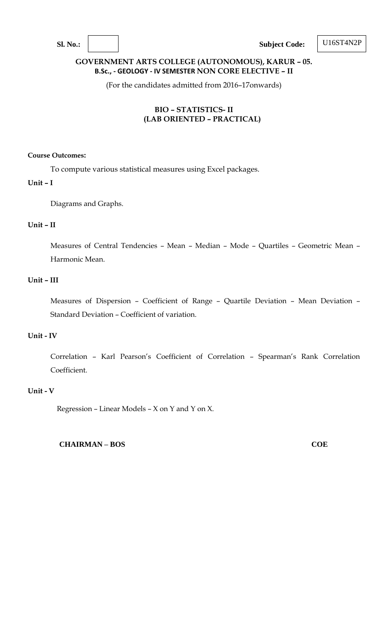**Sl. No.: Subject Code:**

U16ST4N2P

### **GOVERNMENT ARTS COLLEGE (AUTONOMOUS), KARUR – 05. B.Sc., - GEOLOGY - IV SEMESTER NON CORE ELECTIVE – II**

(For the candidates admitted from 2016–17onwards)

### **BIO – STATISTICS- II (LAB ORIENTED – PRACTICAL)**

### **Course Outcomes:**

To compute various statistical measures using Excel packages.

### **Unit – I**

Diagrams and Graphs.

### **Unit – II**

Measures of Central Tendencies – Mean – Median – Mode – Quartiles – Geometric Mean – Harmonic Mean.

### **Unit – III**

Measures of Dispersion – Coefficient of Range – Quartile Deviation – Mean Deviation – Standard Deviation – Coefficient of variation.

### **Unit - IV**

Correlation – Karl Pearson's Coefficient of Correlation – Spearman's Rank Correlation Coefficient.

### **Unit - V**

Regression – Linear Models – X on Y and Y on X.

**CHAIRMAN – BOS COE**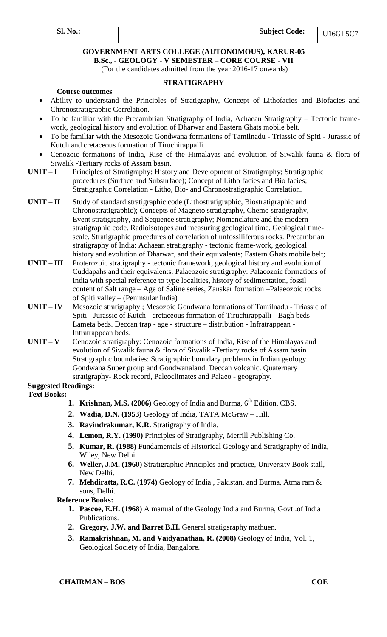### **GOVERNMENT ARTS COLLEGE (AUTONOMOUS), KARUR-05 B.Sc., - GEOLOGY - V SEMESTER – CORE COURSE - VII**

(For the candidates admitted from the year 2016-17 onwards)

#### **STRATIGRAPHY**

#### **Course outcomes**

- Ability to understand the Principles of Stratigraphy, Concept of Lithofacies and Biofacies and Chronostratigraphic Correlation.
- To be familiar with the Precambrian Stratigraphy of India, Achaean Stratigraphy Tectonic framework, geological history and evolution of Dharwar and Eastern Ghats mobile belt.
- To be familiar with the Mesozoic Gondwana formations of Tamilnadu Triassic of Spiti Jurassic of Kutch and cretaceous formation of Tiruchirappalli.
- Cenozoic formations of India, Rise of the Himalayas and evolution of Siwalik fauna & flora of Siwalik -Tertiary rocks of Assam basin.
- **UNIT – I** Principles of Stratigraphy: History and Development of Stratigraphy; Stratigraphic procedures (Surface and Subsurface); Concept of Litho facies and Bio facies; Stratigraphic Correlation - Litho, Bio- and Chronostratigraphic Correlation.
- **UNIT – II** Study of standard stratigraphic code (Lithostratigraphic, Biostratigraphic and Chronostratigraphic); Concepts of Magneto stratigraphy, Chemo stratigraphy, Event stratigraphy, and Sequence stratigraphy; Nomenclature and the modern stratigraphic code. Radioisotopes and measuring geological time. Geological timescale. Stratigraphic procedures of correlation of unfossiliferous rocks. Precambrian stratigraphy of India: Achaean stratigraphy - tectonic frame-work, geological history and evolution of Dharwar, and their equivalents; Eastern Ghats mobile belt;
- **UNIT – III** Proterozoic stratigraphy tectonic framework, geological history and evolution of Cuddapahs and their equivalents. Palaeozoic stratigraphy: Palaeozoic formations of India with special reference to type localities, history of sedimentation, fossil content of Salt range – Age of Saline series, Zanskar formation –Palaeozoic rocks of Spiti valley – (Peninsular India)
- **UNIT – IV** Mesozoic stratigraphy ; Mesozoic Gondwana formations of Tamilnadu Triassic of Spiti - Jurassic of Kutch - cretaceous formation of Tiruchirappalli - Bagh beds - Lameta beds. Deccan trap - age - structure – distribution - Infratrappean - Intratrappean beds.
- **UNIT – V** Cenozoic stratigraphy: Cenozoic formations of India, Rise of the Himalayas and evolution of Siwalik fauna & flora of Siwalik -Tertiary rocks of Assam basin Stratigraphic boundaries: Stratigraphic boundary problems in Indian geology. Gondwana Super group and Gondwanaland. Deccan volcanic. Quaternary stratigraphy- Rock record, Paleoclimates and Palaeo - geography.

# **Suggested Readings:**

**Text Books:**

- **1. Krishnan, M.S. (2006)** Geology of India and Burma, 6<sup>th</sup> Edition, CBS.
- **2. Wadia, D.N. (1953)** Geology of India, TATA McGraw Hill.
- **3. Ravindrakumar, K.R.** Stratigraphy of India.
- **4. Lemon, R.Y. (1990)** Principles of Stratigraphy, Merrill Publishing Co.
- **5. Kumar, R. (1988)** Fundamentals of Historical Geology and Stratigraphy of India, Wiley, New Delhi.
- **6. Weller, J.M. (1960)** Stratigraphic Principles and practice, University Book stall, New Delhi.
- **7. Mehdiratta, R.C. (1974)** Geology of India , Pakistan, and Burma, Atma ram & sons, Delhi.

- **1. Pascoe, E.H. (1968)** A manual of the Geology India and Burma, Govt .of India Publications.
- **2. Gregory, J.W. and Barret B.H.** General stratigsraphy mathuen.
- **3. Ramakrishnan, M. and Vaidyanathan, R. (2008)** Geology of India, Vol. 1, Geological Society of India, Bangalore.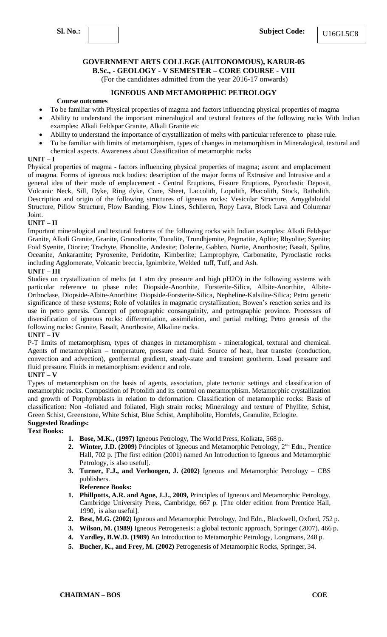**B.Sc., - GEOLOGY - V SEMESTER – CORE COURSE - VIII**

(For the candidates admitted from the year 2016-17 onwards)

### **IGNEOUS AND METAMORPHIC PETROLOGY**

#### **Course outcomes**

- To be familiar with Physical properties of magma and factors influencing physical properties of magma
- Ability to understand the important mineralogical and textural features of the following rocks With Indian examples: Alkali Feldspar Granite, Alkali Granite etc
- Ability to understand the importance of crystallization of melts with particular reference to phase rule.
- To be familiar with limits of metamorphism, types of changes in metamorphism in Mineralogical, textural and chemical aspects. Awareness about Classification of metamorphic rocks

#### **UNIT – I**

Physical properties of magma - factors influencing physical properties of magma; ascent and emplacement of magma. Forms of igneous rock bodies: description of the major forms of Extrusive and Intrusive and a general idea of their mode of emplacement - Central Eruptions, Fissure Eruptions, Pyroclastic Deposit, Volcanic Neck, Sill, Dyke, Ring dyke, Cone, Sheet, Laccolith, Lopolith, Phacolith, Stock, Batholith. Description and origin of the following structures of igneous rocks: Vesicular Structure, Amygdaloidal Structure, Pillow Structure, Flow Banding, Flow Lines, Schlieren, Ropy Lava, Block Lava and Columnar Joint.

#### **UNIT – II**

Important mineralogical and textural features of the following rocks with Indian examples: Alkali Feldspar Granite, Alkali Granite, Granite, Granodiorite, Tonalite, Trondhjemite, Pegmatite, Aplite; Rhyolite; Syenite; Foid Syenite, Diorite; Trachyte, Phonolite, Andesite; Dolerite, Gabbro, Norite, Anorthosite; Basalt, Spilite, Oceanite, Ankaramite; Pyroxenite, Peridotite, Kimberlite; Lamprophyre, Carbonatite, Pyroclastic rocks including Agglomerate, Volcanic breccia, Ignimbrite, Welded tuff, Tuff, and Ash.

#### **UNIT – III**

Studies on crystallization of melts (at 1 atm dry pressure and high pH2O) in the following systems with particular reference to phase rule: Diopside-Anorthite, Forsterite-Silica, Albite-Anorthite, Albite-Orthoclase, Diopside-Albite-Anorthite; Diopside-Forsterite-Silica, Nepheline-Kalsilite-Silica; Petro genetic significance of these systems; Role of volatiles in magmatic crystallization; Bowen's reaction series and its use in petro genesis. Concept of petrographic consanguinity, and petrographic province. Processes of diversification of igneous rocks: differentiation, assimilation, and partial melting; Petro genesis of the following rocks: Granite, Basalt, Anorthosite, Alkaline rocks.

#### **UNIT – IV**

P-T limits of metamorphism, types of changes in metamorphism - mineralogical, textural and chemical. Agents of metamorphism – temperature, pressure and fluid. Source of heat, heat transfer (conduction, convection and advection), geothermal gradient, steady-state and transient geotherm. Load pressure and fluid pressure. Fluids in metamorphism: evidence and role.

#### **UNIT – V**

Types of metamorphism on the basis of agents, association, plate tectonic settings and classification of metamorphic rocks. Composition of Protolith and its control on metamorphism. Metamorphic crystallization and growth of Porphyroblasts in relation to deformation. Classification of metamorphic rocks: Basis of classification: Non -foliated and foliated, High strain rocks; Mineralogy and texture of Phyllite, Schist, Green Schist, Greenstone, White Schist, Blue Schist, Amphibolite, Hornfels, Granulite, Eclogite. **Suggested Readings:**

### **Text Books:**

- **1. Bose, M.K., (1997)** Igneous Petrology, The World Press, Kolkata, 568 p.
- 2. **Winter, J.D. (2009)** Principles of Igneous and Metamorphic Petrology, 2<sup>nd</sup> Edn., Prentice Hall, 702 p. [The first edition (2001) named An Introduction to Igneous and Metamorphic Petrology, is also useful].
- **3. Turner, F.J., and Verhoogen, J. (2002)** Igneous and Metamorphic Petrology CBS publishers.

- **1. Phillpotts, A.R. and Ague, J.J., 2009,** Principles of Igneous and Metamorphic Petrology, Cambridge University Press, Cambridge, 667 p. [The older edition from Prentice Hall, 1990, is also useful].
- **2. Best, M.G. (2002)** Igneous and Metamorphic Petrology, 2nd Edn., Blackwell, Oxford, 752 p.
- **3. Wilson, M. (1989)** Igneous Petrogenesis: a global tectonic approach, Springer (2007), 466 p.
- **4. Yardley, B.W.D. (1989)** An Introduction to Metamorphic Petrology, Longmans, 248 p.
- **5. Bucher, K., and Frey, M. (2002)** Petrogenesis of Metamorphic Rocks, Springer, 34.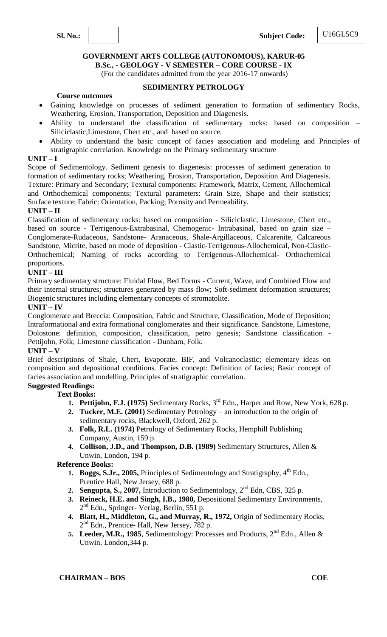

**B.Sc., - GEOLOGY - V SEMESTER – CORE COURSE - IX**

(For the candidates admitted from the year 2016-17 onwards)

### **SEDIMENTRY PETROLOGY**

#### **Course outcomes**

- Gaining knowledge on processes of sediment generation to formation of sedimentary Rocks, Weathering, Erosion, Transportation, Deposition and Diagenesis.
- Ability to understand the classification of sedimentary rocks: based on composition Siliciclastic,Limestone, Chert etc., and based on source.
- Ability to understand the basic concept of facies association and modeling and Principles of stratigraphic correlation. Knowledge on the Primary sedimentary structure

#### **UNIT – I**

Scope of Sedimentology. Sediment genesis to diagenesis: processes of sediment generation to formation of sedimentary rocks; Weathering, Erosion, Transportation, Deposition And Diagenesis. Texture: Primary and Secondary; Textural components: Framework, Matrix, Cement, Allochemical and Orthochemical components; Textural parameters: Grain Size, Shape and their statistics; Surface texture; Fabric: Orientation, Packing; Porosity and Permeability.

### **UNIT – II**

Classification of sedimentary rocks: based on composition - Siliciclastic, Limestone, Chert etc., based on source - Terrigenous-Extrabasinal, Chemogenic- Intrabasinal, based on grain size – Conglomerate-Rudaceous, Sandstone- Aranaceous, Shale-Argillaceous, Calcarenite, Calcareous Sandstone, Micrite, based on mode of deposition - Clastic-Terrigenous-Allochemical, Non-Clastic-Orthochemical; Naming of rocks according to Terrigenous-Allochemical- Orthochemical proportions.

### **UNIT – III**

Primary sedimentary structure: Fluidal Flow, Bed Forms - Current, Wave, and Combined Flow and their internal structures; structures generated by mass flow; Soft-sediment deformation structures; Biogenic structures including elementary concepts of stromatolite.

#### **UNIT – IV**

Conglomerate and Breccia: Composition, Fabric and Structure, Classification, Mode of Deposition; Intraformational and extra formational conglomerates and their significance. Sandstone, Limestone, Dolostone: definition, composition, classification, petro genesis; Sandstone classification - Pettijohn, Folk; Limestone classification - Dunham, Folk.

#### **UNIT – V**

Brief descriptions of Shale, Chert, Evaporate, BIF, and Volcanoclastic; elementary ideas on composition and depositional conditions. Facies concept: Definition of facies; Basic concept of facies association and modelling. Principles of stratigraphic correlation.

# **Suggested Readings:**

### **Text Books:**

- **1. Pettijohn, F.J. (1975)** Sedimentary Rocks, 3rd Edn., Harper and Row, New York, 628 p.
- **2. Tucker, M.E. (2001)** Sedimentary Petrology an introduction to the origin of sedimentary rocks, Blackwell, Oxford, 262 p.
- **3. Folk, R.L. (1974)** Petrology of Sedimentary Rocks, Hemphill Publishing Company, Austin, 159 p.
- **4. Collison, J.D., and Thompson, D.B. (1989)** Sedimentary Structures, Allen & Unwin, London, 194 p.

- **1. Boggs, S.Jr., 2005,** Principles of Sedimentology and Stratigraphy, 4<sup>th</sup> Edn., Prentice Hall, New Jersey, 688 p.
- **2. Sengupta, S., 2007,** Introduction to Sedimentology, 2nd Edn, CBS, 325 p.
- **3. Reineck, H.E. and Singh, I.B., 1980,** Depositional Sedimentary Environments, 2<sup>nd</sup> Edn., Springer- Verlag, Berlin, 551 p.
- **4. Blatt, H., Middleton, G., and Murray, R., 1972,** Origin of Sedimentary Rocks, 2<sup>nd</sup> Edn., Prentice- Hall, New Jersey, 782 p.
- **5.** Leeder, M.R., 1985, Sedimentology: Processes and Products,  $2^{nd}$  Edn., Allen & Unwin, London,344 p.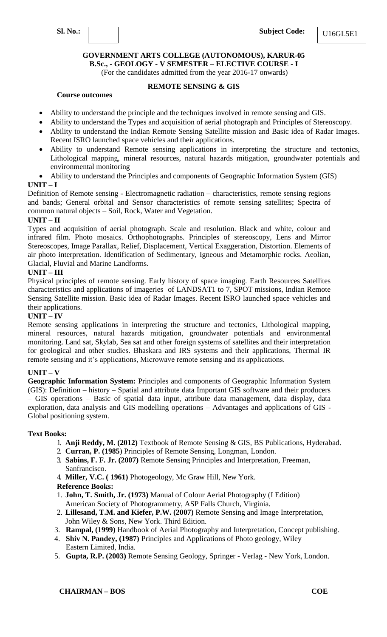

**B.Sc., - GEOLOGY - V SEMESTER – ELECTIVE COURSE - I**

(For the candidates admitted from the year 2016-17 onwards)

### **REMOTE SENSING & GIS**

### **Course outcomes**

- Ability to understand the principle and the techniques involved in remote sensing and GIS.
- Ability to understand the Types and acquisition of aerial photograph and Principles of Stereoscopy.
- Ability to understand the Indian Remote Sensing Satellite mission and Basic idea of Radar Images. Recent ISRO launched space vehicles and their applications.
- Ability to understand Remote sensing applications in interpreting the structure and tectonics, Lithological mapping, mineral resources, natural hazards mitigation, groundwater potentials and environmental monitoring
- Ability to understand the Principles and components of Geographic Information System (GIS)

### **UNIT – I**

Definition of Remote sensing - Electromagnetic radiation – characteristics, remote sensing regions and bands; General orbital and Sensor characteristics of remote sensing satellites; Spectra of common natural objects – Soil, Rock, Water and Vegetation.

### **UNIT – II**

Types and acquisition of aerial photograph. Scale and resolution. Black and white, colour and infrared film. Photo mosaics. Orthophotographs. Principles of stereoscopy, Lens and Mirror Stereoscopes, Image Parallax, Relief, Displacement, Vertical Exaggeration, Distortion. Elements of air photo interpretation. Identification of Sedimentary, Igneous and Metamorphic rocks. Aeolian, Glacial, Fluvial and Marine Landforms.

### **UNIT – III**

Physical principles of remote sensing. Early history of space imaging. Earth Resources Satellites characteristics and applications of imageries of LANDSAT1 to 7, SPOT missions, Indian Remote Sensing Satellite mission. Basic idea of Radar Images. Recent ISRO launched space vehicles and their applications.

### **UNIT – IV**

Remote sensing applications in interpreting the structure and tectonics, Lithological mapping, mineral resources, natural hazards mitigation, groundwater potentials and environmental monitoring. Land sat, Skylab, Sea sat and other foreign systems of satellites and their interpretation for geological and other studies. Bhaskara and IRS systems and their applications, Thermal IR remote sensing and it's applications, Microwave remote sensing and its applications.

### **UNIT – V**

**Geographic Information System:** Principles and components of Geographic Information System (GIS): Definition – history – Spatial and attribute data Important GIS software and their producers – GIS operations – Basic of spatial data input, attribute data management, data display, data exploration, data analysis and GIS modelling operations – Advantages and applications of GIS - Global positioning system.

#### **Text Books:**

- 1. **Anji Reddy, M. (2012)** Textbook of Remote Sensing & GIS, BS Publications, Hyderabad.
- 2. **Curran, P. (1985**) Principles of Remote Sensing, Longman, London.
- 3. **Sabins, F. F. Jr. (2007)** Remote Sensing Principles and Interpretation, Freeman, Sanfrancisco.
- 4. **Miller, V.C. ( 1961)** Photogeology, Mc Graw Hill, New York.

- 1. **John, T. Smith, Jr. (1973)** Manual of Colour Aerial Photography (I Edition) American Society of Photogrammetry, ASP Falls Church, Virginia.
- 2. **Lillesand, T.M. and Kiefer, P.W. (2007)** Remote Sensing and Image Interpretation, John Wiley & Sons, New York. Third Edition.
- 3. **Rampal, (1999)** Handbook of Aerial Photography and Interpretation, Concept publishing.
- 4. **Shiv N. Pandey, (1987)** Principles and Applications of Photo geology, Wiley Eastern Limited, India.
- 5. **Gupta, R.P. (2003)** Remote Sensing Geology, Springer Verlag New York, London.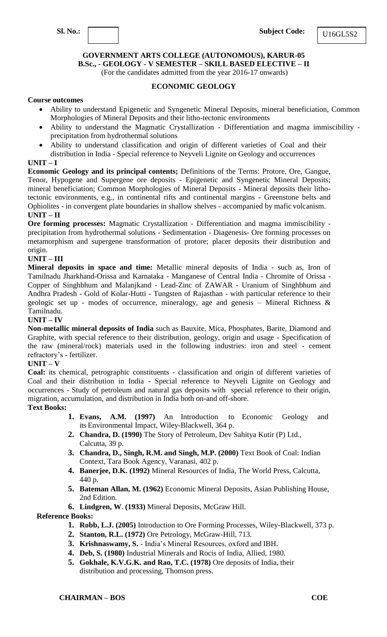**B.Sc., - GEOLOGY - V SEMESTER – SKILL BASED ELECTIVE – II**

(For the candidates admitted from the year 2016-17 onwards)

### **ECONOMIC GEOLOGY**

### **Course outcomes**

- Ability to understand Epigenetic and Syngenetic Mineral Deposits, mineral beneficiation, Common Morphologies of Mineral Deposits and their litho-tectonic environments
- Ability to understand the Magmatic Crystallization Differentiation and magma immiscibility precipitation from hydrothermal solutions
- Ability to understand classification and origin of different varieties of Coal and their distribution in India - Special reference to Neyveli Lignite on Geology and occurrences

### **UNIT – I**

**Economic Geology and its principal contents;** Definitions of the Terms: Protore, Ore, Gangue, Tenor, Hypogene and Supergene ore deposits - Epigenetic and Syngenetic Mineral Deposits; mineral beneficiation; Common Morphologies of Mineral Deposits - Mineral deposits their lithotectonic environments, e.g., in continental rifts and continental margins - Greenstone belts and Ophiolites - in convergent plate boundaries in shallow shelves - accompanied by mafic volcanism. **UNIT – II**

**Ore forming processes:** Magmatic Crystallization - Differentiation and magma immiscibility precipitation from hydrothermal solutions - Sedimentation - Diagenesis- Ore forming processes on metamorphism and supergene transformation of protore; placer deposits their distribution and origin.

### **UNIT – III**

**Mineral deposits in space and time:** Metallic mineral deposits of India - such as, Iron of Tamilnadu Jharkhand-Orissa and Karnataka - Manganese of Central India - Chromite of Orissa - Copper of Singhbhum and Malanjkand - Lead-Zinc of ZAWAR - Uranium of Singhbhum and Andhra Pradesh - Gold of Kolar-Hutti - Tungsten of Rajasthan - with particular reference to their geologic set up - modes of occurrence, mineralogy, age and genesis – Mineral Richness & Tamilnadu.

### **UNIT – IV**

**Non-metallic mineral deposits of India** such as Bauxite, Mica, Phosphates, Barite, Diamond and Graphite, with special reference to their distribution, geology, origin and usage - Specification of the raw (mineral/rock) materials used in the following industries: iron and steel - cement refractory's - fertilizer.

### **UNIT – V**

**Coal:** its chemical, petrographic constituents - classification and origin of different varieties of Coal and their distribution in India - Special reference to Neyveli Lignite on Geology and occurrences - Study of petroleum and natural gas deposits with special reference to their origin, migration, accumulation, and distribution in India both on-and off-shore.

#### **Text Books:**

- **1. Evans, A.M. (1997)** An Introduction to Economic Geology and its Environmental Impact, Wiley-Blackwell, 364 p.
- **2. Chandra, D. (1990)** The Story of Petroleum, Dev Sahitya Kutir (P) Ltd., Calcutta, 39 p.
- **3. Chandra, D., Singh, R.M. and Singh, M.P. (2000)** Text Book of Coal: Indian Context, Tara Book Agency, Varanasi, 402 p.
- **4. Banerjee, D.K. (1992)** Mineral Resources of India, The World Press, Calcutta, 440 p.
- **5. Bateman Allan, M. (1962)** Economic Mineral Deposits, Asian Publishing House, 2nd Edition.
- **6. Lindgren, W**. **(1933)** Mineral Deposits, McGraw Hill.

- **1. Robb, L.J. (2005)** Introduction to Ore Forming Processes, Wiley-Blackwell, 373 p.
- **2. Stanton, R.L. (1972)** Ore Petrology, McGraw-Hill, 713.
- **3. Krishnaswamy, S.**  India's Mineral Resources, oxford and IBH.
- **4. Deb, S. (1980)** Industrial Minerals and Rocis of India, Allied, 1980.
- **5. Gokhale, K.V.G.K. and Rao, T.C. (1978)** Ore deposits of India, their distribution and processing, Thomson press.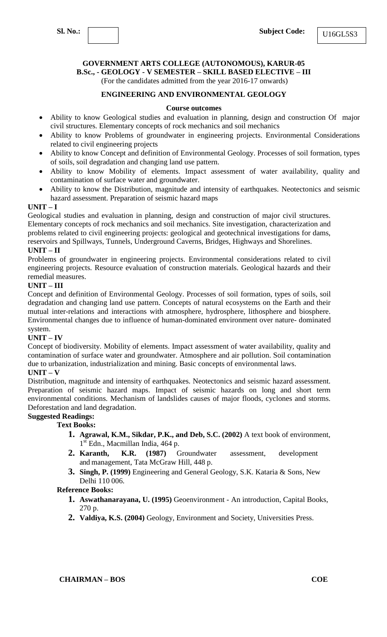**B.Sc., - GEOLOGY - V SEMESTER – SKILL BASED ELECTIVE – III**

(For the candidates admitted from the year 2016-17 onwards)

### **ENGINEERING AND ENVIRONMENTAL GEOLOGY**

#### **Course outcomes**

- Ability to know Geological studies and evaluation in planning, design and construction Of major civil structures. Elementary concepts of rock mechanics and soil mechanics
- Ability to know Problems of groundwater in engineering projects. Environmental Considerations related to civil engineering projects
- Ability to know Concept and definition of Environmental Geology. Processes of soil formation, types of soils, soil degradation and changing land use pattern.
- Ability to know Mobility of elements. Impact assessment of water availability, quality and contamination of surface water and groundwater.
- Ability to know the Distribution, magnitude and intensity of earthquakes. Neotectonics and seismic hazard assessment. Preparation of seismic hazard maps

### **UNIT – I**

Geological studies and evaluation in planning, design and construction of major civil structures. Elementary concepts of rock mechanics and soil mechanics. Site investigation, characterization and problems related to civil engineering projects: geological and geotechnical investigations for dams, reservoirs and Spillways, Tunnels, Underground Caverns, Bridges, Highways and Shorelines.

### **UNIT – II**

Problems of groundwater in engineering projects. Environmental considerations related to civil engineering projects. Resource evaluation of construction materials. Geological hazards and their remedial measures.

### **UNIT – III**

Concept and definition of Environmental Geology. Processes of soil formation, types of soils, soil degradation and changing land use pattern. Concepts of natural ecosystems on the Earth and their mutual inter-relations and interactions with atmosphere, hydrosphere, lithosphere and biosphere. Environmental changes due to influence of human-dominated environment over nature- dominated system.

### **UNIT – IV**

Concept of biodiversity. Mobility of elements. Impact assessment of water availability, quality and contamination of surface water and groundwater. Atmosphere and air pollution. Soil contamination due to urbanization, industrialization and mining. Basic concepts of environmental laws.

# **UNIT – V**

Distribution, magnitude and intensity of earthquakes. Neotectonics and seismic hazard assessment. Preparation of seismic hazard maps. Impact of seismic hazards on long and short term environmental conditions. Mechanism of landslides causes of major floods, cyclones and storms. Deforestation and land degradation.

### **Suggested Readings:**

### **Text Books:**

- **1. Agrawal, K.M., Sikdar, P.K., and Deb, S.C. (2002)** A text book of environment, 1 st Edn., Macmillan India, 464 p.
- **2. Karanth, K.R. (1987)** Groundwater assessment, development and management, Tata McGraw Hill, 448 p.
- **3. Singh, P. (1999)** Engineering and General Geology, S.K. Kataria & Sons, New Delhi 110 006.

- **1. Aswathanarayana, U. (1995)** Geoenvironment An introduction, Capital Books, 270 p.
- **2. Valdiya, K.S. (2004)** Geology, Environment and Society, Universities Press.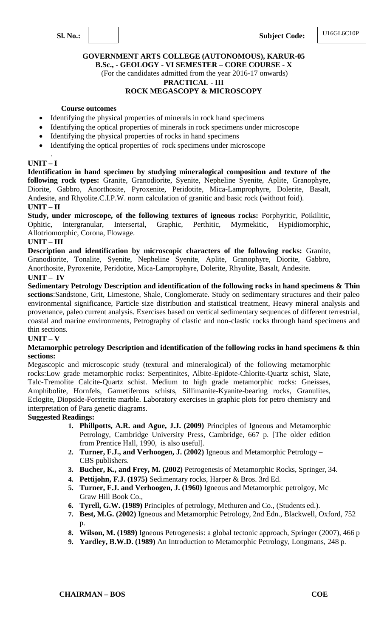### **GOVERNMENT ARTS COLLEGE (AUTONOMOUS), KARUR-05 B.Sc., - GEOLOGY - VI SEMESTER – CORE COURSE - X** (For the candidates admitted from the year 2016-17 onwards)

### **PRACTICAL - III**

### **ROCK MEGASCOPY & MICROSCOPY**

#### **Course outcomes**

- Identifying the physical properties of minerals in rock hand specimens
- Identifying the optical properties of minerals in rock specimens under microscope
- Identifying the physical properties of rocks in hand specimens
- Identifying the optical properties of rock specimens under microscope

### **UNIT – I**

.

**Identification in hand specimen by studying mineralogical composition and texture of the following rock types:** Granite, Granodiorite, Syenite, Nepheline Syenite, Aplite, Granophyre, Diorite, Gabbro, Anorthosite, Pyroxenite, Peridotite, Mica-Lamprophyre, Dolerite, Basalt, Andesite, and Rhyolite.C.I.P.W. norm calculation of granitic and basic rock (without foid).

### **UNIT – II**

**Study, under microscope, of the following textures of igneous rocks:** Porphyritic, Poikilitic, Ophitic, Intergranular, Intersertal, Graphic, Perthitic, Myrmekitic, Hypidiomorphic, Allotriomorphic, Corona, Flowage.

### **UNIT – III**

**Description and identification by microscopic characters of the following rocks:** Granite, Granodiorite, Tonalite, Syenite, Nepheline Syenite, Aplite, Granophyre, Diorite, Gabbro, Anorthosite, Pyroxenite, Peridotite, Mica-Lamprophyre, Dolerite, Rhyolite, Basalt, Andesite. **UNIT – IV**

**Sedimentary Petrology Description and identification of the following rocks in hand specimens & Thin sections**:Sandstone, Grit, Limestone, Shale, Conglomerate. Study on sedimentary structures and their paleo environmental significance, Particle size distribution and statistical treatment, Heavy mineral analysis and provenance, paleo current analysis. Exercises based on vertical sedimentary sequences of different terrestrial, coastal and marine environments, Petrography of clastic and non-clastic rocks through hand specimens and thin sections.

### **UNIT – V**

#### **Metamorphic petrology Description and identification of the following rocks in hand specimens & thin sections:**

Megascopic and microscopic study (textural and mineralogical) of the following metamorphic rocks:Low grade metamorphic rocks: Serpentinites, Albite-Epidote-Chlorite-Quartz schist, Slate, Talc-Tremolite Calcite-Quartz schist. Medium to high grade metamorphic rocks: Gneisses, Amphibolite, Hornfels, Garnetiferous schists, Sillimanite-Kyanite-bearing rocks, Granulites, Eclogite, Diopside-Forsterite marble. Laboratory exercises in graphic plots for petro chemistry and interpretation of Para genetic diagrams.

### **Suggested Readings:**

- **1. Phillpotts, A.R. and Ague, J.J. (2009)** Principles of Igneous and Metamorphic Petrology, Cambridge University Press, Cambridge, 667 p. [The older edition from Prentice Hall, 1990, is also useful].
- **2. Turner, F.J., and Verhoogen, J. (2002)** Igneous and Metamorphic Petrology CBS publishers.
- **3. Bucher, K., and Frey, M. (2002)** Petrogenesis of Metamorphic Rocks, Springer, 34.
- **4. Pettijohn, F.J. (1975)** Sedimentary rocks, Harper & Bros. 3rd Ed.
- **5. Turner, F.J. and Verhoogen, J. (1960)** Igneous and Metamorphic petrolgoy, Mc Graw Hill Book Co.,
- **6. Tyrell, G.W. (1989)** Principles of petrology, Methuren and Co., (Students ed.).
- **7. Best, M.G. (2002)** Igneous and Metamorphic Petrology, 2nd Edn., Blackwell, Oxford, 752 p.
- **8. Wilson, M. (1989)** Igneous Petrogenesis: a global tectonic approach, Springer (2007), 466 p
- **9. Yardley, B.W.D. (1989)** An Introduction to Metamorphic Petrology, Longmans, 248 p.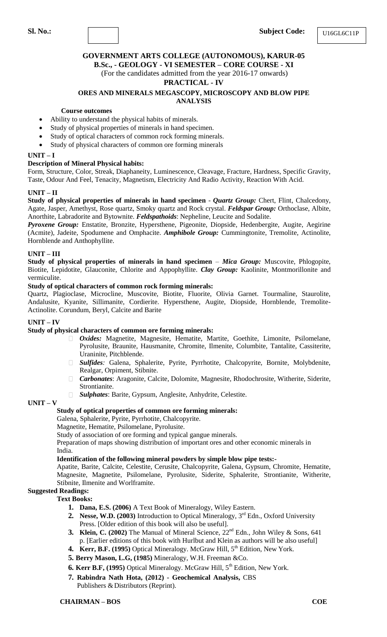**B.Sc., - GEOLOGY - VI SEMESTER – CORE COURSE - XI** (For the candidates admitted from the year 2016-17 onwards)

#### **PRACTICAL - IV**

### **ORES AND MINERALS MEGASCOPY, MICROSCOPY AND BLOW PIPE ANALYSIS**

#### **Course outcomes**

- Ability to understand the physical habits of minerals.
- Study of physical properties of minerals in hand specimen.
- Study of optical characters of common rock forming minerals.
- Study of physical characters of common ore forming minerals

#### **UNIT – I**

#### **Description of Mineral Physical habits:**

Form, Structure, Color, Streak, Diaphaneity, Luminescence, Cleavage, Fracture, Hardness, Specific Gravity, Taste, Odour And Feel, Tenacity, Magnetism, Electricity And Radio Activity, Reaction With Acid.

#### **UNIT – II**

**Study of physical properties of minerals in hand specimen** - *Quartz Group:* Chert, Flint, Chalcedony, Agate, Jasper, Amethyst, Rose quartz, Smoky quartz and Rock crystal. *Feldspar Group:* Orthoclase, Albite, Anorthite, Labradorite and Bytownite. *Feldspathoids*: Nepheline, Leucite and Sodalite.

*Pyroxene Group:* Enstatite, Bronzite, Hypersthene, Pigeonite, Diopside, Hedenbergite, Augite, Aegirine (Acmite), Jadeite, Spodumene and Omphacite. *Amphibole Group:* Cummingtonite, Tremolite, Actinolite, Hornblende and Anthophyllite.

#### **UNIT – III**

**Study of physical properties of minerals in hand specimen** – *Mica Group:* Muscovite, Phlogopite, Biotite, Lepidotite, Glauconite, Chlorite and Appophyllite. *Clay Group:* Kaolinite, Montmorillonite and vermiculite.

#### **Study of optical characters of common rock forming minerals:**

Quartz, Plagioclase, Microcline, Muscovite, Biotite, Fluorite, Olivia Garnet. Tourmaline, Staurolite, Andalusite, Kyanite, Sillimanite, Cordierite. Hypersthene, Augite, Diopside, Hornblende, Tremolite-Actinolite. Corundum, Beryl, Calcite and Barite

#### **UNIT – IV**

#### **Study of physical characters of common ore forming minerals:**

- *Oxides:* Magnetite, Magnesite, Hematite, Martite, Goethite, Limonite, Psilomelane,  $\Box$ . Pyrolusite, Braunite, Hausmanite, Chromite, Ilmenite, Columbite, Tantalite, Cassiterite, Uraninite, Pitchblende.
- *Sulfides:* Galena, Sphalerite, Pyrite, Pyrrhotite, Chalcopyrite, Bornite, Molybdenite, Realgar, Orpiment, Stibnite.
- *Carbonates*: Aragonite, Calcite, Dolomite, Magnesite, Rhodochrosite, Witherite, Siderite,  $\Box$ Strontianite.
- $\Box$ *Sulphates*: Barite, Gypsum, Anglesite, Anhydrite, Celestite.

### **UNIT – V**

#### **Study of optical properties of common ore forming minerals:**

### Galena, Sphalerite, Pyrite, Pyrrhotite, Chalcopyrite.

Magnetite, Hematite, Psilomelane, Pyrolusite.

Study of association of ore forming and typical gangue minerals.

Preparation of maps showing distribution of important ores and other economic minerals in India.

### **Identification of the following mineral powders by simple blow pipe tests:-**

Apatite, Barite, Calcite, Celestite, Cerusite, Chalcopyrite, Galena, Gypsum, Chromite, Hematite, Magnesite, Magnetite, Psilomelane, Pyrolusite, Siderite, Sphalerite, Strontianite, Witherite, Stibnite, Ilmenite and Worlframite.

# **Suggested Readings:**

- **Text Books:**
	- **1. Dana, E.S. (2006)** A Text Book of Mineralogy, Wiley Eastern.
	- **2. Nesse, W.D. (2003)** Introduction to Optical Mineralogy, 3<sup>rd</sup> Edn., Oxford University Press. [Older edition of this book will also be useful].
	- **3. Klein, C. (2002)** The Manual of Mineral Science,  $22^{nd}$  Edn., John Wiley & Sons, 641 p. [Earlier editions of this book with Hurlbut and Klein as authors will be also useful]
	- **4. Kerr, B.F. (1995)** Optical Mineralogy. McGraw Hill, 5<sup>th</sup> Edition, New York.
	- **5. Berry Mason, L.G, (1985)** Mineralogy, W.H. Freeman &Co.
	- **6. Kerr B.F, (1995)** Optical Mineralogy. McGraw Hill, 5<sup>th</sup> Edition, New York.
	- **7. Rabindra Nath Hota, (2012) - Geochemical Analysis,** CBS Publishers & Distributors (Reprint).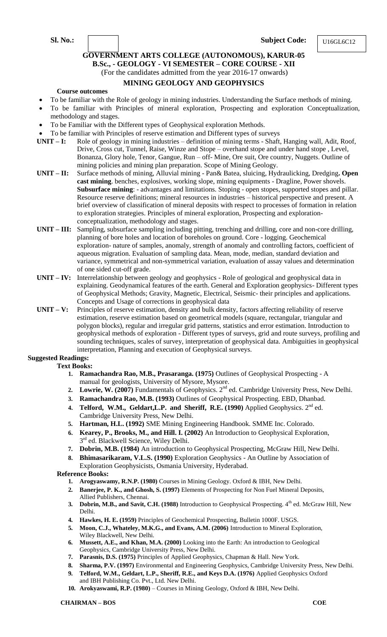**Sl. No.: Subject Code:**

U16GL6C12

# **GOVERNMENT ARTS COLLEGE (AUTONOMOUS), KARUR-05**

**B.Sc., - GEOLOGY - VI SEMESTER – CORE COURSE - XII**

(For the candidates admitted from the year 2016-17 onwards)

### **MINING GEOLOGY AND GEOPHYSICS**

#### **Course outcomes**

- To be familiar with the Role of geology in mining industries. Understanding the Surface methods of mining.
- To be familiar with Principles of mineral exploration, Prospecting and exploration Conceptualization, methodology and stages.
- To be Familiar with the Different types of Geophysical exploration Methods.
- To be familiar with Principles of reserve estimation and Different types of surveys
- **UNIT – I:** Role of geology in mining industries definition of mining terms Shaft, Hanging wall, Adit, Roof, Drive, Cross cut, Tunnel, Raise, Winze and Stope – overhand stope and under hand stope , Level, Bonanza, Glory hole, Tenor, Gangue, Run – off- Mine, Ore suit, Ore country, Nuggets. Outline of mining policies and mining plan preparation. Scope of Mining Geology.
- **UNIT – II:** Surface methods of mining, Alluvial mining Pan& Batea, sluicing, Hydraulicking, Dredging**. Open cast mining**. benches, explosives, working slope, mining equipments - Dragline, Power shovels. **Subsurface mining**: - advantages and limitations. Stoping - open stopes, supported stopes and pillar. Resource reserve definitions; mineral resources in industries – historical perspective and present. A brief overview of classification of mineral deposits with respect to processes of formation in relation to exploration strategies. Principles of mineral exploration, Prospecting and explorationconceptualization, methodology and stages.
- **UNIT – III:** Sampling, subsurface sampling including pitting, trenching and drilling, core and non-core drilling, planning of bore holes and location of boreholes on ground. Core - logging. Geochemical exploration- nature of samples, anomaly, strength of anomaly and controlling factors, coefficient of aqueous migration. Evaluation of sampling data. Mean, mode, median, standard deviation and variance, symmetrical and non-symmetrical variation, evaluation of assay values and determination of one sided cut-off grade.
- **UNIT – IV:** Interrelationship between geology and geophysics Role of geological and geophysical data in explaining. Geodynamical features of the earth. General and Exploration geophysics- Different types of Geophysical Methods; Gravity, Magnetic, Electrical, Seismic- their principles and applications. Concepts and Usage of corrections in geophysical data
- **UNIT – V:** Principles of reserve estimation, density and bulk density, factors affecting reliability of reserve estimation, reserve estimation based on geometrical models (square, rectangular, triangular and polygon blocks), regular and irregular grid patterns, statistics and error estimation. Introduction to geophysical methods of exploration - Different types of surveys, grid and route surveys, profiling and sounding techniques, scales of survey, interpretation of geophysical data. Ambiguities in geophysical interpretation, Planning and execution of Geophysical surveys.

# **Suggested Readings:**

#### **Text Books:**

- **1. Ramachandra Rao, M.B., Prasaranga. (1975)** Outlines of Geophysical Prospecting A manual for geologists, University of Mysore, Mysore.
- 2. Lowrie, W. (2007) Fundamentals of Geophysics. 2<sup>nd</sup> ed. Cambridge University Press, New Delhi.
- **3. Ramachandra Rao, M.B. (1993)** Outlines of Geophysical Prospecting. EBD, Dhanbad.
- **4. Telford, W.M., Geldart,L.P. and Sheriff, R.E. (1990)** Applied Geophysics. 2nd ed. Cambridge University Press, New Delhi.
- **5. Hartman, H.L. (1992)** SME Mining Engineering Handbook. SMME Inc. Colorado.
- **6. Kearey, P., Brooks, M., and Hill. I. (2002)** An Introduction to Geophysical Exploration,  $3<sup>rd</sup>$  ed. Blackwell Science, Wiley Delhi.
- **7. Dobrin, M.B. (1984)** An introduction to Geophysical Prospecting, McGraw Hill, New Delhi.
- **8. Bhimasarikaram, V.L.S. (1990)** Exploration Geophysics An Outline by Association of Exploration Geophysicists, Osmania University, Hyderabad.

- **1. Arogyaswamy, R.N.P. (1980)** Courses in Mining Geology. Oxford & IBH, New Delhi.
- **2. Banerjee, P. K., and Ghosh, S. (1997)** Elements of Prospecting for Non Fuel Mineral Deposits, Allied Publishers, Chennai.
- **3. Dobrin, M.B., and Savit, C.H. (1988)** Introduction to Geophysical Prospecting. 4<sup>th</sup> ed. McGraw Hill, New Delhi.
- **4. Hawkes, H. E. (1959)** Principles of Geochemical Prospecting, Bulletin 1000F. USGS.
- **5. Moon, C.J., Whateley, M.K.G., and Evans, A.M. (2006)** Introduction to Mineral Exploration, Wiley Blackwell, New Delhi.
- **6. Mussett, A.E., and Khan, M.A. (2000)** Looking into the Earth: An introduction to Geological Geophysics, Cambridge University Press, New Delhi.
- **7. Parasnis, D.S. (1975)** Principles of Applied Geophysics, Chapman & Hall. New York.
- **8. Sharma, P.V. (1997)** Environmental and Engineering Geophysics, Cambridge University Press, New Delhi.
- **9. Telford, W.M., Geldart, L.P., Sheriff, R.E., and Keys D.A. (1976)** Applied Geophysics Oxford and IBH Publishing Co. Pvt., Ltd. New Delhi.
- **10. Arokyaswami, R.P. (1980)**  Courses in Mining Geology, Oxford & IBH, New Delhi.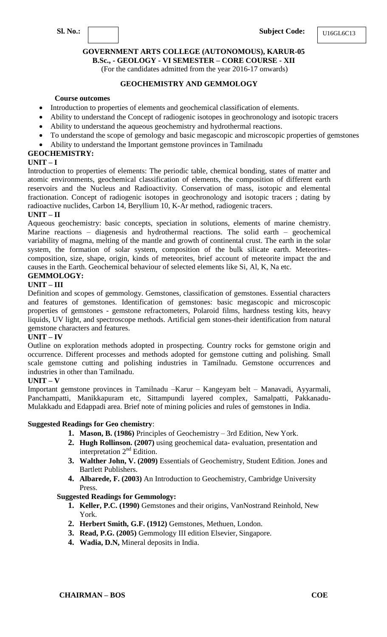**B.Sc., - GEOLOGY - VI SEMESTER – CORE COURSE - XII**

(For the candidates admitted from the year 2016-17 onwards)

### **GEOCHEMISTRY AND GEMMOLOGY**

### **Course outcomes**

- Introduction to properties of elements and geochemical classification of elements.
- Ability to understand the Concept of radiogenic isotopes in geochronology and isotopic tracers
- Ability to understand the aqueous geochemistry and hydrothermal reactions.
- To understand the scope of gemology and basic megascopic and microscopic properties of gemstones
- Ability to understand the Important gemstone provinces in Tamilnadu

# **GEOCHEMISTRY:**

### **UNIT – I**

Introduction to properties of elements: The periodic table, chemical bonding, states of matter and atomic environments, geochemical classification of elements, the composition of different earth reservoirs and the Nucleus and Radioactivity. Conservation of mass, isotopic and elemental fractionation. Concept of radiogenic isotopes in geochronology and isotopic tracers ; dating by radioactive nuclides, Carbon 14, Beryllium 10, K-Ar method, radiogenic tracers.

### **UNIT – II**

Aqueous geochemistry: basic concepts, speciation in solutions, elements of marine chemistry. Marine reactions – diagenesis and hydrothermal reactions. The solid earth – geochemical variability of magma, melting of the mantle and growth of continental crust. The earth in the solar system, the formation of solar system, composition of the bulk silicate earth. Meteoritescomposition, size, shape, origin, kinds of meteorites, brief account of meteorite impact the and causes in the Earth. Geochemical behaviour of selected elements like Si, Al, K, Na etc.

### **GEMMOLOGY:**

### **UNIT – III**

Definition and scopes of gemmology. Gemstones, classification of gemstones. Essential characters and features of gemstones. Identification of gemstones: basic megascopic and microscopic properties of gemstones - gemstone refractometers, Polaroid films, hardness testing kits, heavy liquids, UV light, and spectroscope methods. Artificial gem stones-their identification from natural gemstone characters and features.

### **UNIT – IV**

Outline on exploration methods adopted in prospecting. Country rocks for gemstone origin and occurrence. Different processes and methods adopted for gemstone cutting and polishing. Small scale gemstone cutting and polishing industries in Tamilnadu. Gemstone occurrences and industries in other than Tamilnadu.

### **UNIT – V**

Important gemstone provinces in Tamilnadu –Karur – Kangeyam belt – Manavadi, Ayyarmali, Panchampatti, Manikkapuram etc, Sittampundi layered complex, Samalpatti, Pakkanadu-Mulakkadu and Edappadi area. Brief note of mining policies and rules of gemstones in India.

### **Suggested Readings for Geo chemistry**:

- **1. Mason, B. (1986)** Principles of Geochemistry 3rd Edition, New York.
- **2. Hugh Rollinson. (2007)** using geochemical data- evaluation, presentation and interpretation  $2<sup>nd</sup>$  Edition.
- **3. Walther John, V. (2009)** Essentials of Geochemistry, Student Edition. Jones and Bartlett Publishers.
- **4. Albarede, F. (2003)** An Introduction to Geochemistry, Cambridge University Press.

### **Suggested Readings for Gemmology:**

- **1. Keller, P.C. (1990)** Gemstones and their origins, VanNostrand Reinhold, New York.
- **2. Herbert Smith, G.F. (1912)** Gemstones, Methuen, London.
- **3. Read, P.G. (2005)** Gemmology III edition Elsevier, Singapore.
- **4. Wadia, D.N,** Mineral deposits in India.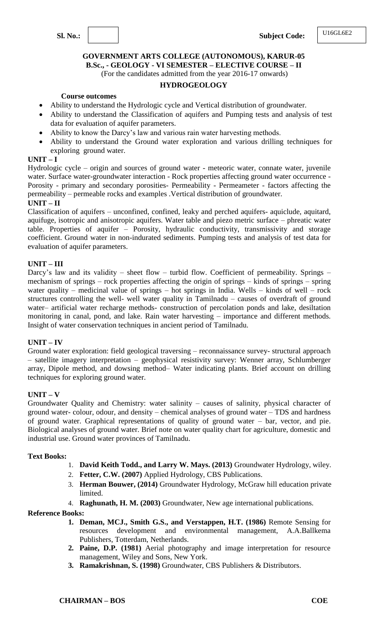### **GOVERNMENT ARTS COLLEGE (AUTONOMOUS), KARUR-05 B.Sc., - GEOLOGY - VI SEMESTER – ELECTIVE COURSE – II** (For the candidates admitted from the year 2016-17 onwards)

#### **HYDROGEOLOGY**

#### **Course outcomes**

- Ability to understand the Hydrologic cycle and Vertical distribution of groundwater.
- Ability to understand the Classification of aquifers and Pumping tests and analysis of test data for evaluation of aquifer parameters.
- Ability to know the Darcy's law and various rain water harvesting methods.
- Ability to understand the Ground water exploration and various drilling techniques for exploring ground water.

### **UNIT – I**

Hydrologic cycle – origin and sources of ground water - meteoric water, connate water, juvenile water. Surface water-groundwater interaction - Rock properties affecting ground water occurrence - Porosity - primary and secondary porosities- Permeability - Permeameter - factors affecting the permeability – permeable rocks and examples .Vertical distribution of groundwater.

### **UNIT – II**

Classification of aquifers – unconfined, confined, leaky and perched aquifers- aquiclude, aquitard, aquifuge, isotropic and anisotropic aquifers. Water table and piezo metric surface – phreatic water table. Properties of aquifer – Porosity, hydraulic conductivity, transmissivity and storage coefficient. Ground water in non-indurated sediments. Pumping tests and analysis of test data for evaluation of aquifer parameters.

### **UNIT – III**

Darcy's law and its validity – sheet flow – turbid flow. Coefficient of permeability. Springs – mechanism of springs – rock properties affecting the origin of springs – kinds of springs – spring water quality – medicinal value of springs – hot springs in India. Wells – kinds of well – rock structures controlling the well- well water quality in Tamilnadu – causes of overdraft of ground water– artificial water recharge methods- construction of percolation ponds and lake, desiltation monitoring in canal, pond, and lake. Rain water harvesting – importance and different methods. Insight of water conservation techniques in ancient period of Tamilnadu.

### **UNIT – IV**

Ground water exploration: field geological traversing – reconnaissance survey- structural approach – satellite imagery interpretation – geophysical resistivity survey: Wenner array, Schlumberger array, Dipole method, and dowsing method– Water indicating plants. Brief account on drilling techniques for exploring ground water.

### **UNIT – V**

Groundwater Quality and Chemistry: water salinity – causes of salinity, physical character of ground water- colour, odour, and density – chemical analyses of ground water – TDS and hardness of ground water. Graphical representations of quality of ground water – bar, vector, and pie. Biological analyses of ground water. Brief note on water quality chart for agriculture, domestic and industrial use. Ground water provinces of Tamilnadu.

#### **Text Books:**

- 1. **David Keith Todd., and Larry W. Mays. (2013)** Groundwater Hydrology, wiley.
- 2. **Fetter, C.W. (2007)** Applied Hydrology, CBS Publications.
- 3. **Herman Bouwer, (2014)** Groundwater Hydrology, McGraw hill education private limited.
- 4. **Raghunath, H. M. (2003)** Groundwater, New age international publications.

- **1. Deman, MCJ., Smith G.S., and Verstappen, H.T. (1986)** Remote Sensing for resources development and environmental management, A.A.Ballkema Publishers, Totterdam, Netherlands.
- **2. Paine, D.P. (1981)** Aerial photography and image interpretation for resource management, Wiley and Sons, New York.
- **3. Ramakrishnan, S. (1998)** Groundwater, CBS Publishers & Distributors.